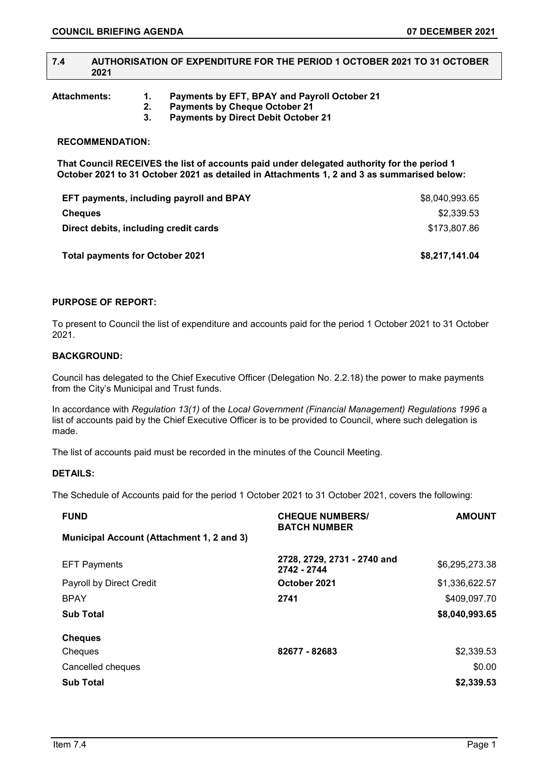## **7.4 AUTHORISATION OF EXPENDITURE FOR THE PERIOD 1 OCTOBER 2021 TO 31 OCTOBER 2021**

**Attachments: 1. Payments by EFT, BPAY and Payroll October 21** 

- **2. Payments by Cheque October 21** 
	- **3. Payments by Direct Debit October 21**

# **RECOMMENDATION:**

**That Council RECEIVES the list of accounts paid under delegated authority for the period 1 October 2021 to 31 October 2021 as detailed in Attachments 1, 2 and 3 as summarised below:**

| <b>Total payments for October 2021</b>          | \$8,217,141.04 |
|-------------------------------------------------|----------------|
| Direct debits, including credit cards           | \$173,807.86   |
| <b>Cheques</b>                                  | \$2,339.53     |
| <b>EFT payments, including payroll and BPAY</b> | \$8,040,993.65 |

# **PURPOSE OF REPORT:**

To present to Council the list of expenditure and accounts paid for the period 1 October 2021 to 31 October 2021.

## **BACKGROUND:**

Council has delegated to the Chief Executive Officer (Delegation No. 2.2.18) the power to make payments from the City's Municipal and Trust funds.

In accordance with *Regulation 13(1)* of the *Local Government (Financial Management) Regulations 1996* a list of accounts paid by the Chief Executive Officer is to be provided to Council, where such delegation is made.

The list of accounts paid must be recorded in the minutes of the Council Meeting.

#### **DETAILS:**

The Schedule of Accounts paid for the period 1 October 2021 to 31 October 2021, covers the following:

| <b>FUND</b>                               | <b>CHEQUE NUMBERS/</b><br><b>BATCH NUMBER</b> | <b>AMOUNT</b>  |
|-------------------------------------------|-----------------------------------------------|----------------|
| Municipal Account (Attachment 1, 2 and 3) |                                               |                |
| <b>EFT Payments</b>                       | 2728, 2729, 2731 - 2740 and<br>2742 - 2744    | \$6,295,273.38 |
| Payroll by Direct Credit                  | October 2021                                  | \$1,336,622.57 |
| <b>BPAY</b>                               | 2741                                          | \$409,097.70   |
| <b>Sub Total</b>                          |                                               | \$8,040,993.65 |
| <b>Cheques</b>                            |                                               |                |
| Cheques                                   | 82677 - 82683                                 | \$2,339.53     |
| Cancelled cheques                         |                                               | \$0.00         |
| <b>Sub Total</b>                          |                                               | \$2,339.53     |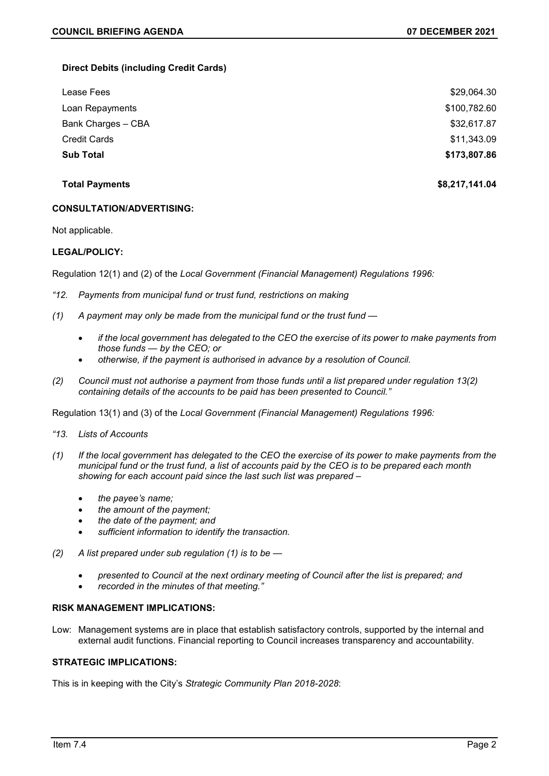# **Direct Debits (including Credit Cards)**

| Lease Fees          | \$29,064.30  |
|---------------------|--------------|
| Loan Repayments     | \$100,782.60 |
| Bank Charges - CBA  | \$32,617.87  |
| <b>Credit Cards</b> | \$11,343.09  |
| <b>Sub Total</b>    | \$173,807.86 |

**Total Payments \$8,217,141.04**

## **CONSULTATION/ADVERTISING:**

Not applicable.

# **LEGAL/POLICY:**

Regulation 12(1) and (2) of the *Local Government (Financial Management) Regulations 1996:*

- *"12. Payments from municipal fund or trust fund, restrictions on making*
- *(1) A payment may only be made from the municipal fund or the trust fund —*
	- *if the local government has delegated to the CEO the exercise of its power to make payments from those funds — by the CEO; or*
	- *otherwise, if the payment is authorised in advance by a resolution of Council.*
- *(2) Council must not authorise a payment from those funds until a list prepared under regulation 13(2) containing details of the accounts to be paid has been presented to Council."*

Regulation 13(1) and (3) of the *Local Government (Financial Management) Regulations 1996:*

- *"13. Lists of Accounts*
- *(1) If the local government has delegated to the CEO the exercise of its power to make payments from the municipal fund or the trust fund, a list of accounts paid by the CEO is to be prepared each month showing for each account paid since the last such list was prepared –*
	- *the payee's name;*
	- *the amount of the payment;*
	- *the date of the payment; and*
	- *sufficient information to identify the transaction.*
- *(2) A list prepared under sub regulation (1) is to be —*
	- *presented to Council at the next ordinary meeting of Council after the list is prepared; and*
	- *recorded in the minutes of that meeting."*

#### **RISK MANAGEMENT IMPLICATIONS:**

Low: Management systems are in place that establish satisfactory controls, supported by the internal and external audit functions. Financial reporting to Council increases transparency and accountability.

# **STRATEGIC IMPLICATIONS:**

This is in keeping with the City's *Strategic Community Plan 2018-2028*: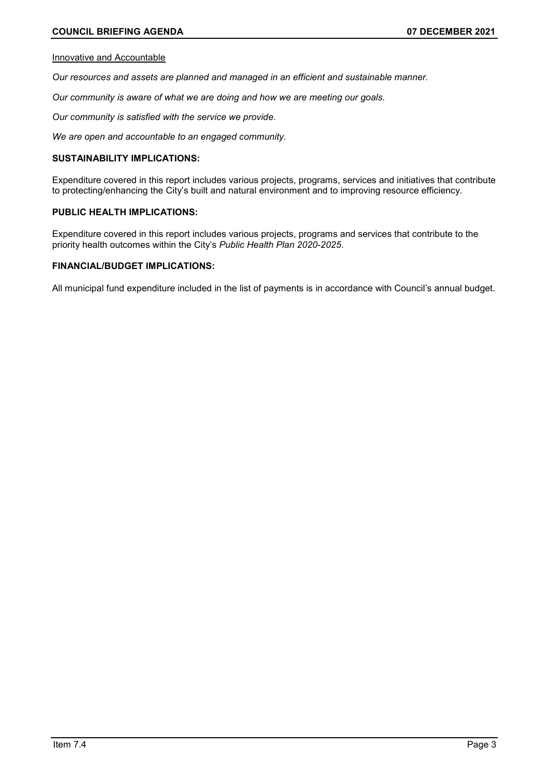### Innovative and Accountable

*Our resources and assets are planned and managed in an efficient and sustainable manner.*

*Our community is aware of what we are doing and how we are meeting our goals.*

*Our community is satisfied with the service we provide.*

*We are open and accountable to an engaged community.*

# **SUSTAINABILITY IMPLICATIONS:**

Expenditure covered in this report includes various projects, programs, services and initiatives that contribute to protecting/enhancing the City's built and natural environment and to improving resource efficiency.

### **PUBLIC HEALTH IMPLICATIONS:**

Expenditure covered in this report includes various projects, programs and services that contribute to the priority health outcomes within the City's *Public Health Plan 2020-2025*.

# **FINANCIAL/BUDGET IMPLICATIONS:**

All municipal fund expenditure included in the list of payments is in accordance with Council's annual budget.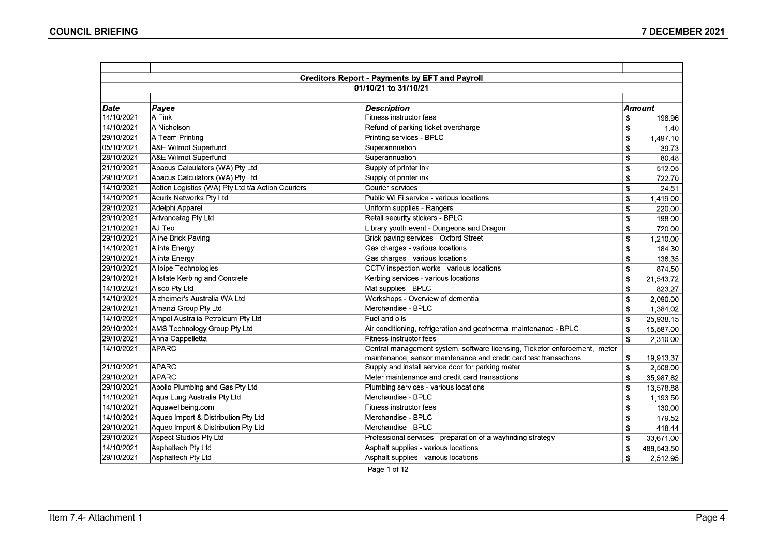|            |                                                   | <b>Creditors Report - Payments by EFT and Payroll</b>                      |               |            |  |  |
|------------|---------------------------------------------------|----------------------------------------------------------------------------|---------------|------------|--|--|
|            | 01/10/21 to 31/10/21                              |                                                                            |               |            |  |  |
|            |                                                   |                                                                            |               |            |  |  |
| Date       | Payee                                             | <b>Description</b>                                                         | <b>Amount</b> |            |  |  |
| 14/10/2021 | A Fink                                            | Fitness instructor fees                                                    | \$            | 198.96     |  |  |
| 14/10/2021 | A Nicholson                                       | Refund of parking ticket overcharge                                        | \$            | 1.40       |  |  |
| 29/10/2021 | A Team Printing                                   | Printing services - BPLC                                                   | \$            | 1,497.10   |  |  |
| 05/10/2021 | A&E Wilmot Superfund                              | Superannuation                                                             | \$            | 39.73      |  |  |
| 28/10/2021 | A&E Wilmot Superfund                              | Superannuation                                                             | \$            | 80.48      |  |  |
| 21/10/2021 | Abacus Calculators (WA) Pty Ltd                   | Supply of printer ink                                                      | \$            | 512.05     |  |  |
| 29/10/2021 | Abacus Calculators (WA) Pty Ltd                   | Supply of printer ink                                                      | \$            | 722.70     |  |  |
| 14/10/2021 | Action Logistics (WA) Pty Ltd t/a Action Couriers | Courier services                                                           | \$            | 24.51      |  |  |
| 14/10/2021 | Acurix Networks Pty Ltd                           | Public Wi Fi service - various locations                                   | \$            | 1,419.00   |  |  |
| 29/10/2021 | Adelphi Apparel                                   | Uniform supplies - Rangers                                                 | \$            | 220.00     |  |  |
| 29/10/2021 | Advancetag Pty Ltd                                | Retail security stickers - BPLC                                            | \$            | 198.00     |  |  |
| 21/10/2021 | AJ Teo                                            | Library youth event - Dungeons and Dragon                                  | \$            | 720.00     |  |  |
| 29/10/2021 | Aline Brick Paving                                | Brick paving services - Oxford Street                                      | \$            | 1.210.00   |  |  |
| 14/10/2021 | Alinta Energy                                     | Gas charges - various locations                                            | \$            | 184.30     |  |  |
| 29/10/2021 | Alinta Energy                                     | Gas charges - various locations                                            | \$            | 136.35     |  |  |
| 29/10/2021 | Allpipe Technologies                              | CCTV inspection works - various locations                                  | \$            | 874.50     |  |  |
| 29/10/2021 | Allstate Kerbing and Concrete                     | Kerbing services - various locations                                       | \$            | 21,543.72  |  |  |
| 14/10/2021 | Alsco Pty Ltd                                     | Mat supplies - BPLC                                                        | \$            | 823.27     |  |  |
| 14/10/2021 | Alzheimer's Australia WA Ltd                      | Workshops - Overview of dementia                                           | \$            | 2,090.00   |  |  |
| 29/10/2021 | Amanzi Group Pty Ltd                              | Merchandise - BPLC                                                         | \$            | 1,384.02   |  |  |
| 14/10/2021 | Ampol Australia Petroleum Pty Ltd                 | Fuel and oils                                                              | \$            | 25,938.15  |  |  |
| 29/10/2021 | AMS Technology Group Pty Ltd                      | Air conditioning, refrigeration and geothermal maintenance - BPLC          | \$            | 15,587.00  |  |  |
| 29/10/2021 | Anna Cappelletta                                  | <b>Fitness instructor fees</b>                                             | \$            | 2,310.00   |  |  |
| 14/10/2021 | APARC                                             | Central management system, software licensing, Ticketor enforcement, meter |               |            |  |  |
|            |                                                   | maintenance, sensor maintenance and credit card test transactions          | \$            | 19,913.37  |  |  |
| 21/10/2021 | <b>APARC</b>                                      | Supply and install service door for parking meter                          | \$            | 2,508.00   |  |  |
| 29/10/2021 | <b>APARC</b>                                      | Meter maintenance and credit card transactions                             | \$            | 35,987.82  |  |  |
| 29/10/2021 | Apollo Plumbing and Gas Pty Ltd                   | Plumbing services - various locations                                      | \$            | 13,578.88  |  |  |
| 14/10/2021 | Aqua Lung Australia Pty Ltd                       | Merchandise - BPLC                                                         | \$            | 1,193.50   |  |  |
| 14/10/2021 | Aquawellbeing.com                                 | Fitness instructor fees                                                    | \$            | 130.00     |  |  |
| 14/10/2021 | Aqueo Import & Distribution Pty Ltd               | Merchandise - BPLC                                                         | \$            | 179.52     |  |  |
| 29/10/2021 | Aqueo Import & Distribution Pty Ltd               | Merchandise - BPLC                                                         | \$            | 418.44     |  |  |
| 29/10/2021 | Aspect Studios Pty Ltd                            | Professional services - preparation of a wayfinding strategy               | \$            | 33,671.00  |  |  |
| 14/10/2021 | Asphaltech Pty Ltd                                | Asphalt supplies - various locations                                       | \$            | 488,543.50 |  |  |
| 29/10/2021 | Asphaltech Pty Ltd                                | Asphalt supplies - various locations                                       | \$            | 2,512.95   |  |  |

Page 1 of 12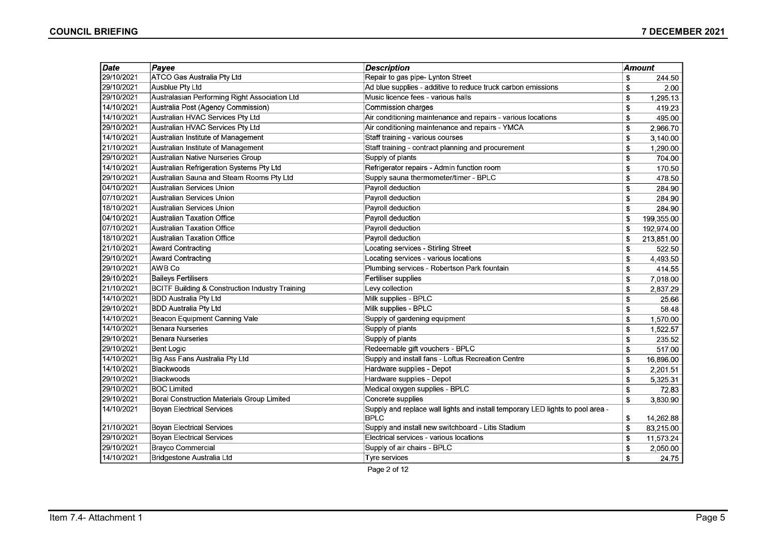| 29/10/2021<br>ATCO Gas Australia Pty Ltd<br>Repair to gas pipe- Lynton Street<br><b>Ausblue Pty Ltd</b><br>29/10/2021<br>Ad blue supplies - additive to reduce truck carbon emissions<br>29/10/2021<br>Australasian Performing Right Association Ltd<br>Music licence fees - various halls<br>14/10/2021<br>Australia Post (Agency Commission)<br>Commission charges<br>14/10/2021<br>Australian HVAC Services Pty Ltd<br>Air conditioning maintenance and repairs - various locations<br>29/10/2021<br>Australian HVAC Services Pty Ltd<br>Air conditioning maintenance and repairs - YMCA<br>14/10/2021<br>Australian Institute of Management<br>Staff training - various courses<br>21/10/2021<br>Australian Institute of Management<br>Staff training - contract planning and procurement | \$<br>\$<br>\$<br>\$<br>\$<br>\$<br>\$<br>\$<br>\$<br>\$<br>\$<br>\$ | 244.50<br>2.00<br>1,295.13<br>419.23<br>495.00<br>2,966.70<br>3,140.00<br>1,290.00<br>704.00<br>170.50<br>478.50 |
|-----------------------------------------------------------------------------------------------------------------------------------------------------------------------------------------------------------------------------------------------------------------------------------------------------------------------------------------------------------------------------------------------------------------------------------------------------------------------------------------------------------------------------------------------------------------------------------------------------------------------------------------------------------------------------------------------------------------------------------------------------------------------------------------------|----------------------------------------------------------------------|------------------------------------------------------------------------------------------------------------------|
|                                                                                                                                                                                                                                                                                                                                                                                                                                                                                                                                                                                                                                                                                                                                                                                               |                                                                      |                                                                                                                  |
|                                                                                                                                                                                                                                                                                                                                                                                                                                                                                                                                                                                                                                                                                                                                                                                               |                                                                      |                                                                                                                  |
|                                                                                                                                                                                                                                                                                                                                                                                                                                                                                                                                                                                                                                                                                                                                                                                               |                                                                      |                                                                                                                  |
|                                                                                                                                                                                                                                                                                                                                                                                                                                                                                                                                                                                                                                                                                                                                                                                               |                                                                      |                                                                                                                  |
|                                                                                                                                                                                                                                                                                                                                                                                                                                                                                                                                                                                                                                                                                                                                                                                               |                                                                      |                                                                                                                  |
|                                                                                                                                                                                                                                                                                                                                                                                                                                                                                                                                                                                                                                                                                                                                                                                               |                                                                      |                                                                                                                  |
|                                                                                                                                                                                                                                                                                                                                                                                                                                                                                                                                                                                                                                                                                                                                                                                               |                                                                      |                                                                                                                  |
|                                                                                                                                                                                                                                                                                                                                                                                                                                                                                                                                                                                                                                                                                                                                                                                               |                                                                      |                                                                                                                  |
| 29/10/2021<br>Australian Native Nurseries Group<br>Supply of plants                                                                                                                                                                                                                                                                                                                                                                                                                                                                                                                                                                                                                                                                                                                           |                                                                      |                                                                                                                  |
| 14/10/2021<br>Australian Refrigeration Systems Pty Ltd<br>Refrigerator repairs - Admin function room                                                                                                                                                                                                                                                                                                                                                                                                                                                                                                                                                                                                                                                                                          |                                                                      |                                                                                                                  |
| Supply sauna thermometer/timer - BPLC<br>29/10/2021<br>Australian Sauna and Steam Rooms Pty Ltd                                                                                                                                                                                                                                                                                                                                                                                                                                                                                                                                                                                                                                                                                               |                                                                      |                                                                                                                  |
| 04/10/2021<br>Australian Services Union<br>Payroll deduction                                                                                                                                                                                                                                                                                                                                                                                                                                                                                                                                                                                                                                                                                                                                  |                                                                      | 284.90                                                                                                           |
| 07/10/2021<br>Australian Services Union<br>Payroll deduction                                                                                                                                                                                                                                                                                                                                                                                                                                                                                                                                                                                                                                                                                                                                  | \$                                                                   | 284.90                                                                                                           |
| 18/10/2021<br>Australian Services Union<br>Payroll deduction                                                                                                                                                                                                                                                                                                                                                                                                                                                                                                                                                                                                                                                                                                                                  | \$                                                                   | 284.90                                                                                                           |
| 04/10/2021<br><b>Australian Taxation Office</b><br>Payroll deduction                                                                                                                                                                                                                                                                                                                                                                                                                                                                                                                                                                                                                                                                                                                          | \$                                                                   | 199,355.00                                                                                                       |
| 07/10/2021<br><b>Australian Taxation Office</b><br>Payroll deduction                                                                                                                                                                                                                                                                                                                                                                                                                                                                                                                                                                                                                                                                                                                          | \$                                                                   | 192,974.00                                                                                                       |
| 18/10/2021<br>Payroll deduction<br><b>Australian Taxation Office</b>                                                                                                                                                                                                                                                                                                                                                                                                                                                                                                                                                                                                                                                                                                                          | \$                                                                   | 213,851.00                                                                                                       |
| 21/10/2021<br><b>Award Contracting</b><br>Locating services - Stirling Street                                                                                                                                                                                                                                                                                                                                                                                                                                                                                                                                                                                                                                                                                                                 | \$                                                                   | 522.50                                                                                                           |
| 29/10/2021<br><b>Award Contracting</b><br>Locating services - various locations                                                                                                                                                                                                                                                                                                                                                                                                                                                                                                                                                                                                                                                                                                               | \$                                                                   | 4,493.50                                                                                                         |
| 29/10/2021<br>AWB Co<br>Plumbing services - Robertson Park fountain                                                                                                                                                                                                                                                                                                                                                                                                                                                                                                                                                                                                                                                                                                                           | \$                                                                   | 414.55                                                                                                           |
| 29/10/2021<br><b>Baileys Fertilisers</b><br>Fertiliser supplies                                                                                                                                                                                                                                                                                                                                                                                                                                                                                                                                                                                                                                                                                                                               | \$                                                                   | 7,018.00                                                                                                         |
| 21/10/2021<br><b>BCITF Building &amp; Construction Industry Training</b><br>Levy collection                                                                                                                                                                                                                                                                                                                                                                                                                                                                                                                                                                                                                                                                                                   | \$                                                                   | 2,837.29                                                                                                         |
| 14/10/2021<br><b>BDD Australia Pty Ltd</b><br>Milk supplies - BPLC                                                                                                                                                                                                                                                                                                                                                                                                                                                                                                                                                                                                                                                                                                                            | \$                                                                   | 25.66                                                                                                            |
| 29/10/2021<br><b>BDD Australia Pty Ltd</b><br>Milk supplies - BPLC                                                                                                                                                                                                                                                                                                                                                                                                                                                                                                                                                                                                                                                                                                                            | \$                                                                   | 58.48                                                                                                            |
| 14/10/2021<br>Beacon Equipment Canning Vale<br>Supply of gardening equipment                                                                                                                                                                                                                                                                                                                                                                                                                                                                                                                                                                                                                                                                                                                  | \$                                                                   | 1,570.00                                                                                                         |
| 14/10/2021<br><b>Benara Nurseries</b><br>Supply of plants                                                                                                                                                                                                                                                                                                                                                                                                                                                                                                                                                                                                                                                                                                                                     | \$                                                                   | 1,522.57                                                                                                         |
| 29/10/2021<br><b>Benara Nurseries</b><br>Supply of plants                                                                                                                                                                                                                                                                                                                                                                                                                                                                                                                                                                                                                                                                                                                                     | \$                                                                   | 235.52                                                                                                           |
| 29/10/2021<br>Redeemable gift vouchers - BPLC<br><b>Bent Logic</b>                                                                                                                                                                                                                                                                                                                                                                                                                                                                                                                                                                                                                                                                                                                            | \$                                                                   | 517.00                                                                                                           |
| 14/10/2021<br>Big Ass Fans Australia Pty Ltd<br>Supply and install fans - Loftus Recreation Centre                                                                                                                                                                                                                                                                                                                                                                                                                                                                                                                                                                                                                                                                                            | \$                                                                   | 16,896.00                                                                                                        |
| 14/10/2021<br>Blackwoods<br>Hardware supplies - Depot                                                                                                                                                                                                                                                                                                                                                                                                                                                                                                                                                                                                                                                                                                                                         | \$                                                                   | 2,201.51                                                                                                         |
| 29/10/2021<br>Hardware supplies - Depot<br>Blackwoods                                                                                                                                                                                                                                                                                                                                                                                                                                                                                                                                                                                                                                                                                                                                         | \$                                                                   | 5,325.31                                                                                                         |
| 29/10/2021<br>Medical oxygen supplies - BPLC<br><b>BOC Limited</b>                                                                                                                                                                                                                                                                                                                                                                                                                                                                                                                                                                                                                                                                                                                            | \$                                                                   | 72.83                                                                                                            |
| 29/10/2021<br>Concrete supplies<br>Boral Construction Materials Group Limited                                                                                                                                                                                                                                                                                                                                                                                                                                                                                                                                                                                                                                                                                                                 | \$                                                                   | 3,830.90                                                                                                         |
| 14/10/2021<br>Supply and replace wall lights and install temporary LED lights to pool area -<br><b>Boyan Electrical Services</b><br>BPLC                                                                                                                                                                                                                                                                                                                                                                                                                                                                                                                                                                                                                                                      | \$                                                                   | 14,262.88                                                                                                        |
| 21/10/2021<br>Supply and install new switchboard - Litis Stadium<br><b>Boyan Electrical Services</b>                                                                                                                                                                                                                                                                                                                                                                                                                                                                                                                                                                                                                                                                                          | \$                                                                   | 83,215.00                                                                                                        |
| 29/10/2021<br><b>Boyan Electrical Services</b><br>Electrical services - various locations                                                                                                                                                                                                                                                                                                                                                                                                                                                                                                                                                                                                                                                                                                     | \$                                                                   | 11,573.24                                                                                                        |
| 29/10/2021<br><b>Brayco Commercial</b><br>Supply of air chairs - BPLC                                                                                                                                                                                                                                                                                                                                                                                                                                                                                                                                                                                                                                                                                                                         | \$                                                                   | 2,050.00                                                                                                         |
| 14/10/2021<br>Bridgestone Australia Ltd<br>Tyre services                                                                                                                                                                                                                                                                                                                                                                                                                                                                                                                                                                                                                                                                                                                                      | \$                                                                   | 24.75                                                                                                            |

Page 2 of 12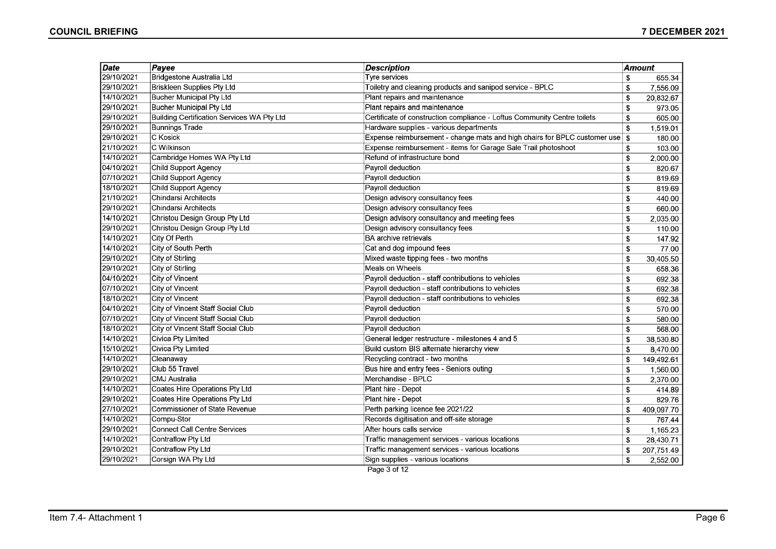| Date       | Payee                                      | <b>Description</b>                                                        | Amount           |
|------------|--------------------------------------------|---------------------------------------------------------------------------|------------------|
| 29/10/2021 | Bridgestone Australia Ltd                  | Tyre services                                                             | \$<br>655.34     |
| 29/10/2021 | Briskleen Supplies Pty Ltd                 | Toiletry and cleaning products and sanipod service - BPLC                 | \$<br>7,556.09   |
| 14/10/2021 | Bucher Municipal Pty Ltd                   | Plant repairs and maintenance                                             | \$<br>20,832.67  |
| 29/10/2021 | <b>Bucher Municipal Pty Ltd</b>            | Plant repairs and maintenance                                             | \$<br>973.05     |
| 29/10/2021 | Building Certification Services WA Pty Ltd | Certificate of construction compliance - Loftus Community Centre toilets  | \$<br>605.00     |
| 29/10/2021 | Bunnings Trade                             | Hardware supplies - various departments                                   | \$<br>1.519.01   |
| 29/10/2021 | C Kosick                                   | Expense reimbursement - change mats and high chairs for BPLC customer use | \$<br>180.00     |
| 21/10/2021 | <b>C Wilkinson</b>                         | Expense reimbursement - items for Garage Sale Trail photoshoot            | \$<br>103.00     |
| 14/10/2021 | Cambridge Homes WA Pty Ltd                 | Refund of infrastructure bond                                             | \$<br>2,000.00   |
| 04/10/2021 | Child Support Agency                       | Payroll deduction                                                         | \$<br>820.67     |
| 07/10/2021 | Child Support Agency                       | Payroll deduction                                                         | \$<br>819.69     |
| 18/10/2021 | Child Support Agency                       | Payroll deduction                                                         | \$<br>819.69     |
| 21/10/2021 | Chindarsi Architects                       | Design advisory consultancy fees                                          | \$<br>440.00     |
| 29/10/2021 | Chindarsi Architects                       | Design advisory consultancy fees                                          | \$<br>660.00     |
| 14/10/2021 | Christou Design Group Pty Ltd              | Design advisory consultancy and meeting fees                              | \$<br>2,035.00   |
| 29/10/2021 | Christou Design Group Pty Ltd              | Design advisory consultancy fees                                          | \$<br>110.00     |
| 14/10/2021 | City Of Perth                              | <b>BA</b> archive retrievals                                              | \$<br>147.92     |
| 14/10/2021 | City of South Perth                        | Cat and dog impound fees                                                  | \$<br>77.00      |
| 29/10/2021 | City of Stirling                           | Mixed waste tipping fees - two months                                     | \$<br>30,405.50  |
| 29/10/2021 | City of Stirling                           | Meals on Wheels                                                           | \$<br>658.36     |
| 04/10/2021 | City of Vincent                            | Payroll deduction - staff contributions to vehicles                       | \$<br>692.38     |
| 07/10/2021 | City of Vincent                            | Payroll deduction - staff contributions to vehicles                       | \$<br>692.38     |
| 18/10/2021 | City of Vincent                            | Payroll deduction - staff contributions to vehicles                       | \$<br>692.38     |
| 04/10/2021 | City of Vincent Staff Social Club          | Payroll deduction                                                         | \$<br>570.00     |
| 07/10/2021 | City of Vincent Staff Social Club          | Payroll deduction                                                         | \$<br>580.00     |
| 18/10/2021 | City of Vincent Staff Social Club          | Payroll deduction                                                         | \$<br>568.00     |
| 14/10/2021 | Civica Pty Limited                         | General ledger restructure - milestones 4 and 5                           | \$<br>38,530.80  |
| 15/10/2021 | Civica Pty Limited                         | Build custom BIS alternate hierarchy view                                 | \$<br>8,470.00   |
| 14/10/2021 | Cleanaway                                  | Recycling contract - two months                                           | \$<br>149,492.61 |
| 29/10/2021 | Club 55 Travel                             | Bus hire and entry fees - Seniors outing                                  | \$<br>1,560.00   |
| 29/10/2021 | CMJ Australia                              | Merchandise - BPLC                                                        | \$<br>2,370.00   |
| 14/10/2021 | Coates Hire Operations Pty Ltd             | Plant hire - Depot                                                        | \$<br>414.89     |
| 29/10/2021 | Coates Hire Operations Pty Ltd             | Plant hire - Depot                                                        | \$<br>829.76     |
| 27/10/2021 | Commissioner of State Revenue              | Perth parking licence fee 2021/22                                         | \$<br>409,097.70 |
| 14/10/2021 | Compu-Stor                                 | Records digitisation and off-site storage                                 | \$<br>767.44     |
| 29/10/2021 | <b>Connect Call Centre Services</b>        | After hours calls service                                                 | \$<br>1,165.23   |
| 14/10/2021 | Contraflow Pty Ltd                         | Traffic management services - various locations                           | \$<br>28,430.71  |
| 29/10/2021 | Contraflow Pty Ltd                         | Traffic management services - various locations                           | \$<br>207,751.49 |
| 29/10/2021 | Corsign WA Pty Ltd                         | Sign supplies - various locations                                         | \$<br>2,552.00   |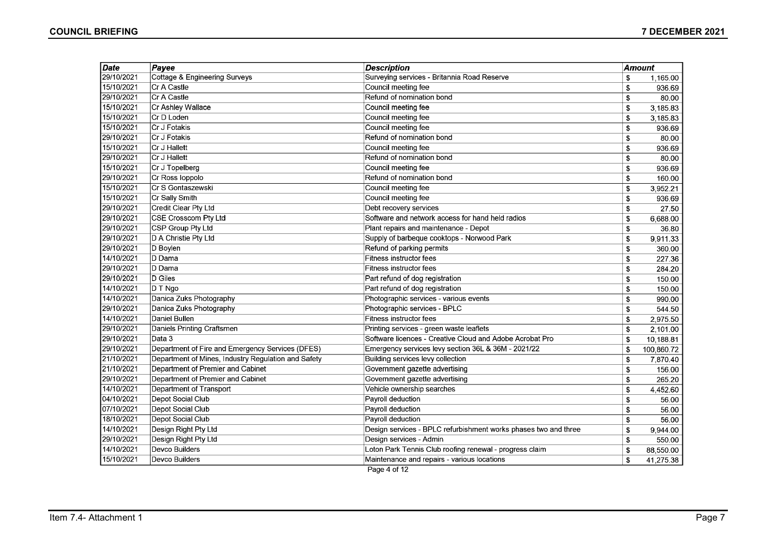| <b>Date</b> | Payee                                               | <b>Description</b>                                              |              | Amount     |
|-------------|-----------------------------------------------------|-----------------------------------------------------------------|--------------|------------|
| 29/10/2021  | Cottage & Engineering Surveys                       | Surveying services - Britannia Road Reserve                     | \$           | 1,165.00   |
| 15/10/2021  | Cr A Castle                                         | Council meeting fee                                             | \$           | 936.69     |
| 29/10/2021  | Cr A Castle                                         | Refund of nomination bond                                       | \$           | 80.00      |
| 15/10/2021  | Cr Ashley Wallace                                   | Council meeting fee                                             | \$           | 3,185.83   |
| 15/10/2021  | Cr D Loden                                          | Council meeting fee                                             | \$           | 3,185.83   |
| 15/10/2021  | Cr J Fotakis                                        | Council meeting fee                                             | \$           | 936.69     |
| 29/10/2021  | Cr J Fotakis                                        | Refund of nomination bond                                       | \$           | 80.00      |
| 15/10/2021  | Cr J Hallett                                        | Council meeting fee                                             | \$           | 936.69     |
| 29/10/2021  | Cr J Hallett                                        | Refund of nomination bond                                       | \$           | 80.00      |
| 15/10/2021  | Cr J Topelberg                                      | Council meeting fee                                             | \$           | 936.69     |
| 29/10/2021  | Cr Ross loppolo                                     | Refund of nomination bond                                       | \$           | 160.00     |
| 15/10/2021  | Cr S Gontaszewski                                   | Council meeting fee                                             | \$           | 3,952.21   |
| 15/10/2021  | Cr Sally Smith                                      | Council meeting fee                                             | \$           | 936.69     |
| 29/10/2021  | Credit Clear Pty Ltd                                | Debt recovery services                                          | \$           | 27.50      |
| 29/10/2021  | <b>CSE Crosscom Pty Ltd</b>                         | Software and network access for hand held radios                | \$           | 6,688.00   |
| 29/10/2021  | CSP Group Pty Ltd                                   | Plant repairs and maintenance - Depot                           | \$           | 36.80      |
| 29/10/2021  | D A Christie Pty Ltd                                | Supply of barbeque cooktops - Norwood Park                      | \$           | 9,911.33   |
| 29/10/2021  | D Boylen                                            | Refund of parking permits                                       | \$           | 360.00     |
| 14/10/2021  | D Dama                                              | Fitness instructor fees                                         | \$           | 227.36     |
| 29/10/2021  | D Dama                                              | <b>Fitness instructor fees</b>                                  | \$           | 284.20     |
| 29/10/2021  | D Giles                                             | Part refund of dog registration                                 | \$           | 150.00     |
| 14/10/2021  | D T Ngo                                             | Part refund of dog registration                                 | \$           | 150.00     |
| 14/10/2021  | Danica Zuks Photography                             | Photographic services - various events                          | \$           | 990.00     |
| 29/10/2021  | Danica Zuks Photography                             | Photographic services - BPLC                                    | \$           | 544.50     |
| 14/10/2021  | Daniel Bullen                                       | Fitness instructor fees                                         | \$           | 2,975.50   |
| 29/10/2021  | Daniels Printing Craftsmen                          | Printing services - green waste leaflets                        | \$           | 2,101.00   |
| 29/10/2021  | Data 3                                              | Software licences - Creative Cloud and Adobe Acrobat Pro        | \$           | 10,188.81  |
| 29/10/2021  | Department of Fire and Emergency Services (DFES)    | Emergency services levy section 36L & 36M - 2021/22             | \$           | 100,860.72 |
| 21/10/2021  | Department of Mines, Industry Regulation and Safety | Building services levy collection                               | \$           | 7,870.40   |
| 21/10/2021  | Department of Premier and Cabinet                   | Government gazette advertising                                  | \$           | 156.00     |
| 29/10/2021  | Department of Premier and Cabinet                   | Government gazette advertising                                  | $\mathbf{s}$ | 265.20     |
| 14/10/2021  | <b>Department of Transport</b>                      | Vehicle ownership searches                                      | \$           | 4,452.60   |
| 04/10/2021  | Depot Social Club                                   | Payroll deduction                                               | \$           | 56.00      |
| 07/10/2021  | Depot Social Club                                   | Payroll deduction                                               | \$           | 56.00      |
| 18/10/2021  | Depot Social Club                                   | Payroll deduction                                               | \$           | 56.00      |
| 14/10/2021  | Design Right Pty Ltd                                | Design services - BPLC refurbishment works phases two and three | \$           | 9,944.00   |
| 29/10/2021  | Design Right Pty Ltd                                | Design services - Admin                                         | \$           | 550.00     |
| 14/10/2021  | Devco Builders                                      | Loton Park Tennis Club roofing renewal - progress claim         | \$           | 88,550.00  |
| 15/10/2021  | Devco Builders                                      | Maintenance and repairs - various locations                     | \$           | 41,275.38  |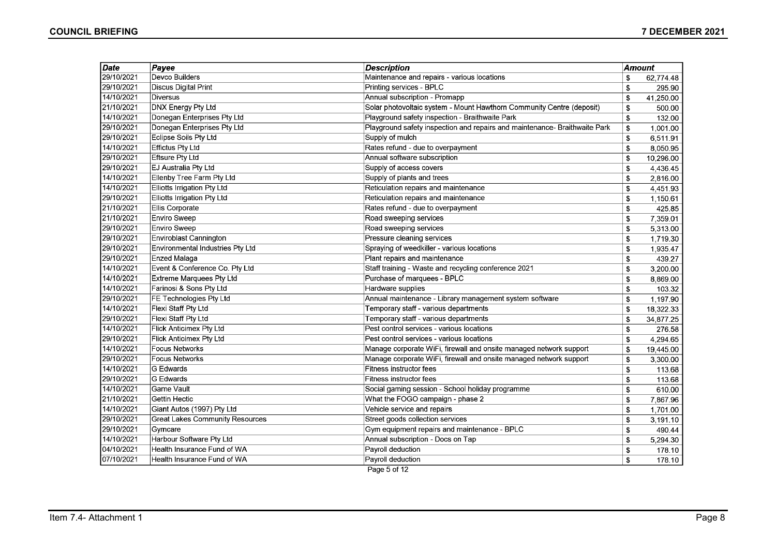| Date       | Payee                                  | <b>Description</b>                                                         | Amount |           |
|------------|----------------------------------------|----------------------------------------------------------------------------|--------|-----------|
| 29/10/2021 | Devco Builders                         | Maintenance and repairs - various locations                                | \$     | 62,774.48 |
| 29/10/2021 | <b>Discus Digital Print</b>            | Printing services - BPLC                                                   | \$     | 295.90    |
| 14/10/2021 | <b>Diversus</b>                        | Annual subscription - Promapp                                              | \$     | 41,250.00 |
| 21/10/2021 | <b>DNX Energy Pty Ltd</b>              | Solar photovoltaic system - Mount Hawthorn Community Centre (deposit)      | \$     | 500.00    |
| 14/10/2021 | Donegan Enterprises Pty Ltd            | Playground safety inspection - Braithwaite Park                            | \$     | 132.00    |
| 29/10/2021 | Donegan Enterprises Pty Ltd            | Playground safety inspection and repairs and maintenance- Braithwaite Park | \$     | 1,001.00  |
| 29/10/2021 | Eclipse Soils Pty Ltd                  | Supply of mulch                                                            | \$     | 6,511.91  |
| 14/10/2021 | <b>Effictus Pty Ltd</b>                | Rates refund - due to overpayment                                          | \$     | 8,050.95  |
| 29/10/2021 | <b>Eftsure Pty Ltd</b>                 | Annual software subscription                                               | \$     | 10,296.00 |
| 29/10/2021 | EJ Australia Pty Ltd                   | Supply of access covers                                                    | \$     | 4,436.45  |
| 14/10/2021 | Ellenby Tree Farm Pty Ltd              | Supply of plants and trees                                                 | \$     | 2,816.00  |
| 14/10/2021 | Elliotts Irrigation Pty Ltd            | Reticulation repairs and maintenance                                       | \$     | 4,451.93  |
| 29/10/2021 | Elliotts Irrigation Pty Ltd            | Reticulation repairs and maintenance                                       | \$     | 1,150.61  |
| 21/10/2021 | Ellis Corporate                        | Rates refund - due to overpayment                                          | \$     | 425.85    |
| 21/10/2021 | Enviro Sweep                           | Road sweeping services                                                     | \$     | 7,359.01  |
| 29/10/2021 | <b>Enviro Sweep</b>                    | Road sweeping services                                                     | \$     | 5,313.00  |
| 29/10/2021 | Enviroblast Cannington                 | Pressure cleaning services                                                 | \$     | 1,719.30  |
| 29/10/2021 | Environmental Industries Pty Ltd       | Spraying of weedkiller - various locations                                 | \$     | 1,935.47  |
| 29/10/2021 | Enzed Malaga                           | Plant repairs and maintenance                                              | \$     | 439.27    |
| 14/10/2021 | Event & Conference Co. Pty Ltd         | Staff training - Waste and recycling conference 2021                       | \$     | 3,200.00  |
| 14/10/2021 | <b>Extreme Marquees Pty Ltd</b>        | Purchase of marquees - BPLC                                                | \$     | 8,869.00  |
| 14/10/2021 | Farinosi & Sons Pty Ltd                | Hardware supplies                                                          | \$     | 103.32    |
| 29/10/2021 | FE Technologies Pty Ltd                | Annual maintenance - Library management system software                    | \$     | 1,197.90  |
| 14/10/2021 | Flexi Staff Pty Ltd                    | Temporary staff - various departments                                      | \$     | 18,322.33 |
| 29/10/2021 | Flexi Staff Pty Ltd                    | Temporary staff - various departments                                      | \$     | 34,877.25 |
| 14/10/2021 | Flick Anticimex Pty Ltd                | Pest control services - various locations                                  | \$     | 276.58    |
| 29/10/2021 | <b>Flick Anticimex Pty Ltd</b>         | Pest control services - various locations                                  | \$     | 4,294.65  |
| 14/10/2021 | Focus Networks                         | Manage corporate WiFi, firewall and onsite managed network support         | \$     | 19,445.00 |
| 29/10/2021 | Focus Networks                         | Manage corporate WiFi, firewall and onsite managed network support         | \$     | 3,300.00  |
| 14/10/2021 | <b>G</b> Edwards                       | <b>Fitness instructor fees</b>                                             | \$     | 113.68    |
| 29/10/2021 | <b>G</b> Edwards                       | Fitness instructor fees                                                    | \$     | 113.68    |
| 14/10/2021 | <b>Game Vault</b>                      | Social gaming session - School holiday programme                           | \$     | 610.00    |
| 21/10/2021 | <b>Gettin Hectic</b>                   | What the FOGO campaign - phase 2                                           | \$     | 7,867.96  |
| 14/10/2021 | Giant Autos (1997) Pty Ltd             | Vehicle service and repairs                                                | \$     | 1,701.00  |
| 29/10/2021 | <b>Great Lakes Community Resources</b> | Street goods collection services                                           | \$     | 3,191.10  |
| 29/10/2021 | Gymcare                                | Gym equipment repairs and maintenance - BPLC                               | \$     | 490.44    |
| 14/10/2021 | Harbour Software Pty Ltd               | Annual subscription - Docs on Tap                                          | \$     | 5,294.30  |
| 04/10/2021 | Health Insurance Fund of WA            | Payroll deduction                                                          | \$     | 178.10    |
| 07/10/2021 | Health Insurance Fund of WA            | Payroll deduction                                                          | \$     | 178.10    |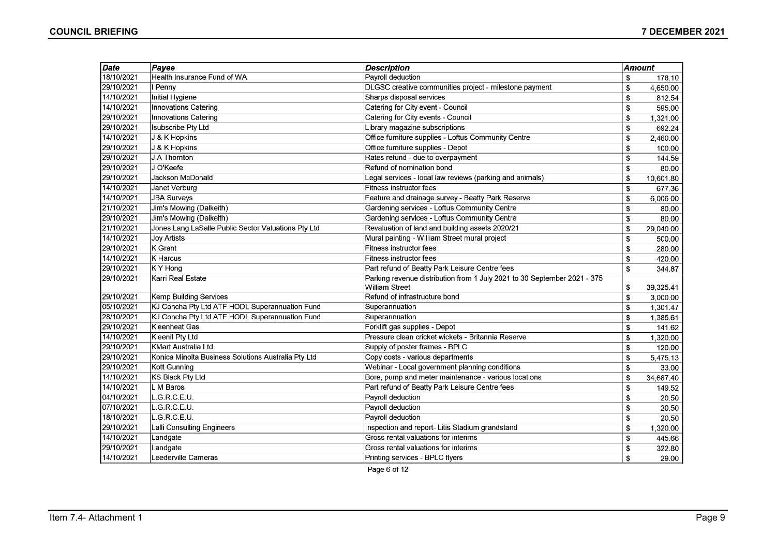| Date       | Payee                                               | <b>Description</b>                                                       | Amount |           |
|------------|-----------------------------------------------------|--------------------------------------------------------------------------|--------|-----------|
| 18/10/2021 | Health Insurance Fund of WA                         | Payroll deduction                                                        | \$     | 178.10    |
| 29/10/2021 | I Penny                                             | DLGSC creative communities project - milestone payment                   | \$     | 4,650.00  |
| 14/10/2021 | Initial Hygiene                                     | Sharps disposal services                                                 | \$     | 812.54    |
| 14/10/2021 | Innovations Catering                                | Catering for City event - Council                                        | \$     | 595.00    |
| 29/10/2021 | Innovations Catering                                | Catering for City events - Council                                       | \$     | 1,321.00  |
| 29/10/2021 | <b>Isubscribe Pty Ltd</b>                           | Library magazine subscriptions                                           | \$     | 692.24    |
| 14/10/2021 | J & K Hopkins                                       | Office furniture supplies - Loftus Community Centre                      | \$     | 2,460.00  |
| 29/10/2021 | J & K Hopkins                                       | Office furniture supplies - Depot                                        | \$     | 100.00    |
| 29/10/2021 | J A Thornton                                        | Rates refund - due to overpayment                                        | \$     | 144.59    |
| 29/10/2021 | J O'Keefe                                           | Refund of nomination bond                                                | \$     | 80.00     |
| 29/10/2021 | Jackson McDonald                                    | Legal services - local law reviews (parking and animals)                 | \$     | 10,601.80 |
| 14/10/2021 | Janet Verburg                                       | Fitness instructor fees                                                  | \$     | 677.36    |
| 14/10/2021 | <b>JBA Surveys</b>                                  | Feature and drainage survey - Beatty Park Reserve                        | \$     | 6,006.00  |
| 21/10/2021 | Jim's Mowing (Dalkeith)                             | Gardening services - Loftus Community Centre                             | \$     | 80.00     |
| 29/10/2021 | Jim's Mowing (Dalkeith)                             | Gardening services - Loftus Community Centre                             | \$     | 80.00     |
| 21/10/2021 | Jones Lang LaSalle Public Sector Valuations Pty Ltd | Revaluation of land and building assets 2020/21                          | S      | 29,040.00 |
| 14/10/2021 | <b>Joy Artists</b>                                  | Mural painting - William Street mural project                            | \$     | 500.00    |
| 29/10/2021 | K Grant                                             | Fitness instructor fees                                                  | \$     | 280.00    |
| 14/10/2021 | <b>K</b> Harcus                                     | Fitness instructor fees                                                  | \$     | 420.00    |
| 29/10/2021 | K Y Hong                                            | Part refund of Beatty Park Leisure Centre fees                           | \$     | 344.87    |
| 29/10/2021 | Karri Real Estate                                   | Parking revenue distribution from 1 July 2021 to 30 September 2021 - 375 |        |           |
|            |                                                     | <b>William Street</b>                                                    | \$     | 39,325.41 |
| 29/10/2021 | Kemp Building Services                              | Refund of infrastructure bond                                            | \$     | 3,000.00  |
| 05/10/2021 | KJ Concha Pty Ltd ATF HODL Superannuation Fund      | Superannuation                                                           | \$     | 1,301.47  |
| 28/10/2021 | KJ Concha Pty Ltd ATF HODL Superannuation Fund      | Superannuation                                                           | \$     | 1,385.61  |
| 29/10/2021 | Kleenheat Gas                                       | Forklift gas supplies - Depot                                            | \$     | 141.62    |
| 14/10/2021 | Kleenit Pty Ltd                                     | Pressure clean cricket wickets - Britannia Reserve                       | \$     | 1,320.00  |
| 29/10/2021 | KMart Australia Ltd                                 | Supply of poster frames - BPLC                                           | \$     | 120.00    |
| 29/10/2021 | Konica Minolta Business Solutions Australia Pty Ltd | Copy costs - various departments                                         | \$     | 5,475.13  |
| 29/10/2021 | Kott Gunning                                        | Webinar - Local government planning conditions                           | \$     | 33.00     |
| 14/10/2021 | KS Black Pty Ltd                                    | Bore, pump and meter maintenance - various locations                     | \$     | 34,687.40 |
| 14/10/2021 | L M Baros                                           | Part refund of Beatty Park Leisure Centre fees                           | \$     | 149.52    |
| 04/10/2021 | L.G.R.C.E.U.                                        | Payroll deduction                                                        | \$     | 20.50     |
| 07/10/2021 | L.G.R.C.E.U.                                        | Payroll deduction                                                        | \$     | 20.50     |
| 18/10/2021 | L.G.R.C.E.U.                                        | Payroll deduction                                                        | \$     | 20.50     |
| 29/10/2021 | Lalli Consulting Engineers                          | Inspection and report- Litis Stadium grandstand                          | \$     | 1,320.00  |
| 14/10/2021 | Landgate                                            | Gross rental valuations for interims                                     | \$     | 445.66    |
| 29/10/2021 | Landgate                                            | Gross rental valuations for interims                                     | \$     | 322.80    |
| 14/10/2021 | Leederville Cameras                                 | Printing services - BPLC flyers                                          | \$     | 29.00     |

Page 6 of 12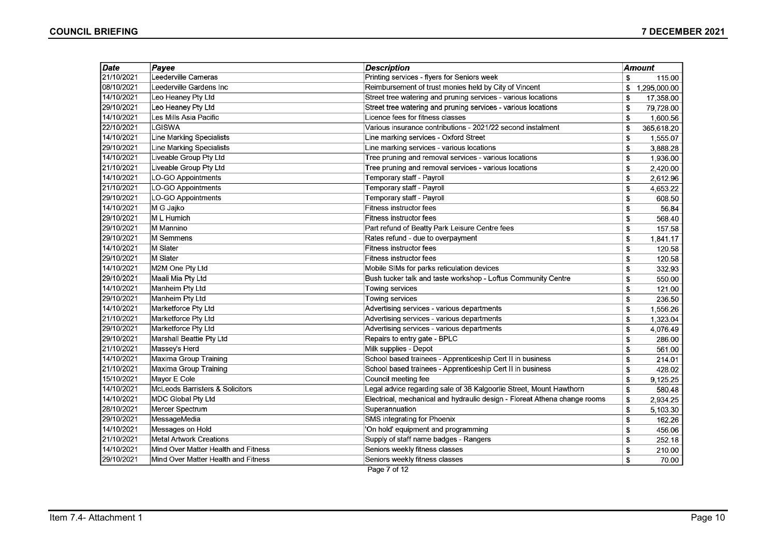| Date       | Payee                               | <b>Description</b>                                                        | <b>Amount</b>      |
|------------|-------------------------------------|---------------------------------------------------------------------------|--------------------|
| 21/10/2021 | Leederville Cameras                 | Printing services - flyers for Seniors week                               | \$<br>115.00       |
| 08/10/2021 | Leederville Gardens Inc             | Reimbursement of trust monies held by City of Vincent                     | 1,295,000.00<br>\$ |
| 14/10/2021 | Leo Heaney Pty Ltd                  | Street tree watering and pruning services - various locations             | 17,358.00<br>\$    |
| 29/10/2021 | Leo Heaney Pty Ltd                  | Street tree watering and pruning services - various locations             | \$<br>79,728.00    |
| 14/10/2021 | Les Mills Asia Pacific              | Licence fees for fitness classes                                          | 1,600.56<br>\$     |
| 22/10/2021 | <b>LGISWA</b>                       | Various insurance contributions - 2021/22 second instalment               | 365,618.20<br>\$   |
| 14/10/2021 | Line Marking Specialists            | Line marking services - Oxford Street                                     | \$<br>1,555.07     |
| 29/10/2021 | Line Marking Specialists            | Line marking services - various locations                                 | \$<br>3,888.28     |
| 14/10/2021 | Liveable Group Pty Ltd              | Tree pruning and removal services - various locations                     | \$<br>1,936.00     |
| 21/10/2021 | Liveable Group Pty Ltd              | Tree pruning and removal services - various locations                     | \$<br>2,420.00     |
| 14/10/2021 | LO-GO Appointments                  | Temporary staff - Payroll                                                 | \$<br>2,612.96     |
| 21/10/2021 | LO-GO Appointments                  | Temporary staff - Payroll                                                 | \$<br>4,653.22     |
| 29/10/2021 | LO-GO Appointments                  | Temporary staff - Payroll                                                 | 608.50<br>\$       |
| 14/10/2021 | M G Jajko                           | <b>Fitness instructor fees</b>                                            | \$<br>56.84        |
| 29/10/2021 | M L Humich                          | <b>Fitness instructor fees</b>                                            | \$<br>568.40       |
| 29/10/2021 | M Mannino                           | Part refund of Beatty Park Leisure Centre fees                            | \$<br>157.58       |
| 29/10/2021 | M Semmens                           | Rates refund - due to overpayment                                         | \$<br>1,841.17     |
| 14/10/2021 | M Slater                            | <b>Fitness instructor fees</b>                                            | \$<br>120.58       |
| 29/10/2021 | M Slater                            | Fitness instructor fees                                                   | \$<br>120.58       |
| 14/10/2021 | M2M One Pty Ltd                     | Mobile SIMs for parks reticulation devices                                | 332.93<br>\$       |
| 29/10/2021 | Maali Mia Pty Ltd                   | Bush tucker talk and taste workshop - Loftus Community Centre             | \$<br>550.00       |
| 14/10/2021 | Manheim Pty Ltd                     | Towing services                                                           | \$<br>121.00       |
| 29/10/2021 | Manheim Pty Ltd                     | Towing services                                                           | \$<br>236.50       |
| 14/10/2021 | Marketforce Pty Ltd                 | Advertising services - various departments                                | \$<br>1,556.26     |
| 21/10/2021 | Marketforce Pty Ltd                 | Advertising services - various departments                                | \$<br>1,323.04     |
| 29/10/2021 | Marketforce Pty Ltd                 | Advertising services - various departments                                | \$<br>4,076.49     |
| 29/10/2021 | Marshall Beattie Pty Ltd            | Repairs to entry gate - BPLC                                              | \$<br>286.00       |
| 21/10/2021 | Massey's Herd                       | Milk supplies - Depot                                                     | \$<br>561.00       |
| 14/10/2021 | Maxima Group Training               | School based trainees - Apprenticeship Cert II in business                | \$<br>214.01       |
| 21/10/2021 | Maxima Group Training               | School based trainees - Apprenticeship Cert II in business                | \$<br>428.02       |
| 15/10/2021 | Mayor E Cole                        | Council meeting fee                                                       | 9,125.25<br>\$     |
| 14/10/2021 | McLeods Barristers & Solicitors     | Legal advice regarding sale of 38 Kalgoorlie Street, Mount Hawthorn       | \$<br>580.48       |
| 14/10/2021 | MDC Global Pty Ltd                  | Electrical, mechanical and hydraulic design - Floreat Athena change rooms | \$<br>2,934.25     |
| 28/10/2021 | Mercer Spectrum                     | Superannuation                                                            | \$<br>5,103.30     |
| 29/10/2021 | MessageMedia                        | SMS integrating for Phoenix                                               | \$<br>162.26       |
| 14/10/2021 | Messages on Hold                    | 'On hold' equipment and programming                                       | \$<br>456.06       |
| 21/10/2021 | Metal Artwork Creations             | Supply of staff name badges - Rangers                                     | \$<br>252.18       |
| 14/10/2021 | Mind Over Matter Health and Fitness | Seniors weekly fitness classes                                            | \$<br>210.00       |
| 29/10/2021 | Mind Over Matter Health and Fitness | Seniors weekly fitness classes                                            | \$<br>70.00        |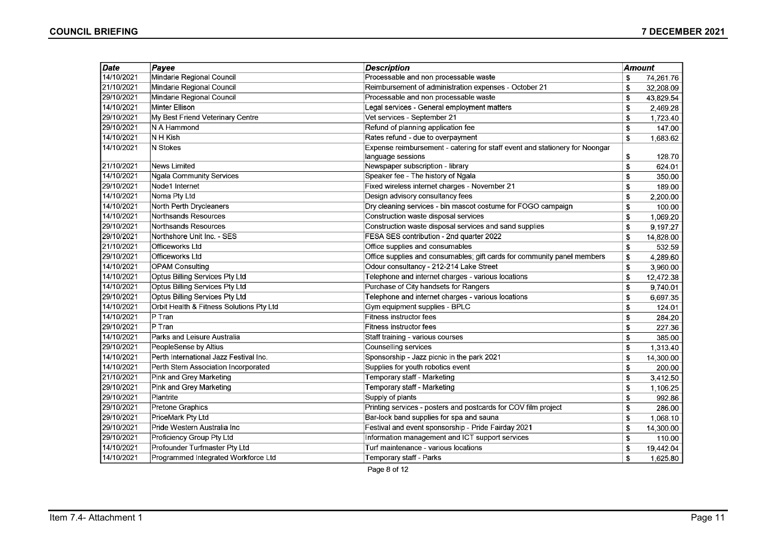| Date       | Payee                                    | <b>Description</b>                                                          | Amount |           |
|------------|------------------------------------------|-----------------------------------------------------------------------------|--------|-----------|
| 14/10/2021 | Mindarie Regional Council                | Processable and non processable waste                                       | \$     | 74,261.76 |
| 21/10/2021 | Mindarie Regional Council                | Reimbursement of administration expenses - October 21                       | \$     | 32,208.09 |
| 29/10/2021 | Mindarie Regional Council                | Processable and non processable waste                                       | \$     | 43,829.54 |
| 14/10/2021 | Minter Ellison                           | Legal services - General employment matters                                 | \$     | 2,469.28  |
| 29/10/2021 | My Best Friend Veterinary Centre         | Vet services - September 21                                                 | \$     | 1,723.40  |
| 29/10/2021 | N A Hammond                              | Refund of planning application fee                                          | \$     | 147.00    |
| 14/10/2021 | $N H$ Kish                               | Rates refund - due to overpayment                                           | \$     | 1,683.62  |
| 14/10/2021 | N Stokes                                 | Expense reimbursement - catering for staff event and stationery for Noongar |        |           |
|            |                                          | language sessions                                                           | \$     | 128.70    |
| 21/10/2021 | News Limited                             | Newspaper subscription - library                                            | \$     | 624.01    |
| 14/10/2021 | Ngala Community Services                 | Speaker fee - The history of Ngala                                          | \$     | 350.00    |
| 29/10/2021 | Node1 Internet                           | Fixed wireless internet charges - November 21                               | \$     | 189.00    |
| 14/10/2021 | Noma Pty Ltd                             | Design advisory consultancy fees                                            | \$     | 2,200.00  |
| 14/10/2021 | North Perth Drycleaners                  | Dry cleaning services - bin mascot costume for FOGO campaign                | \$     | 100.00    |
| 14/10/2021 | Northsands Resources                     | Construction waste disposal services                                        | \$     | 1,069.20  |
| 29/10/2021 | Northsands Resources                     | Construction waste disposal services and sand supplies                      | \$     | 9,197.27  |
| 29/10/2021 | Northshore Unit Inc. - SES               | FESA SES contribution - 2nd quarter 2022                                    | \$     | 14,828.00 |
| 21/10/2021 | Officeworks Ltd                          | Office supplies and consumables                                             | \$     | 532.59    |
| 29/10/2021 | Officeworks Ltd                          | Office supplies and consumables; gift cards for community panel members     | \$     | 4,289.60  |
| 14/10/2021 | OPAM Consulting                          | Odour consultancy - 212-214 Lake Street                                     | \$     | 3,960.00  |
| 14/10/2021 | Optus Billing Services Pty Ltd           | Telephone and internet charges - various locations                          | \$     | 12,472.38 |
| 14/10/2021 | <b>Optus Billing Services Pty Ltd</b>    | Purchase of City handsets for Rangers                                       | \$     | 9,740.01  |
| 29/10/2021 | Optus Billing Services Pty Ltd           | Telephone and internet charges - various locations                          | \$     | 6,697.35  |
| 14/10/2021 | Orbit Health & Fitness Solutions Pty Ltd | Gym equipment supplies - BPLC                                               | \$     | 124.01    |
| 14/10/2021 | $P$ Tran                                 | Fitness instructor fees                                                     | \$     | 284.20    |
| 29/10/2021 | ∣P ⊤ran                                  | <b>Fitness instructor fees</b>                                              | \$     | 227.36    |
| 14/10/2021 | Parks and Leisure Australia              | Staff training - various courses                                            | \$     | 385.00    |
| 29/10/2021 | PeopleSense by Altius                    | Counselling services                                                        | \$     | 1,313.40  |
| 14/10/2021 | Perth International Jazz Festival Inc.   | Sponsorship - Jazz picnic in the park 2021                                  | \$     | 14,300.00 |
| 14/10/2021 | Perth Stem Association Incorporated      | Supplies for youth robotics event                                           | \$     | 200.00    |
| 21/10/2021 | Pink and Grey Marketing                  | Temporary staff - Marketing                                                 | \$     | 3,412.50  |
| 29/10/2021 | Pink and Grey Marketing                  | Temporary staff - Marketing                                                 | \$     | 1,106.25  |
| 29/10/2021 | Plantrite                                | Supply of plants                                                            | \$     | 992.86    |
| 29/10/2021 | Pretone Graphics                         | Printing services - posters and postcards for COV film project              | \$     | 286.00    |
| 29/10/2021 | PriceMark Pty Ltd                        | Bar-lock band supplies for spa and sauna                                    | \$     | 1,068.10  |
| 29/10/2021 | Pride Western Australia Inc              | Festival and event sponsorship - Pride Fairday 2021                         | \$     | 14,300.00 |
| 29/10/2021 | Proficiency Group Pty Ltd                | Information management and ICT support services                             | \$     | 110.00    |
| 14/10/2021 | Profounder Turfmaster Pty Ltd            | Turf maintenance - various locations                                        | \$     | 19,442.04 |
| 14/10/2021 | Programmed Integrated Workforce Ltd      | Temporary staff - Parks                                                     | \$     | 1,625.80  |

Page 8 of 12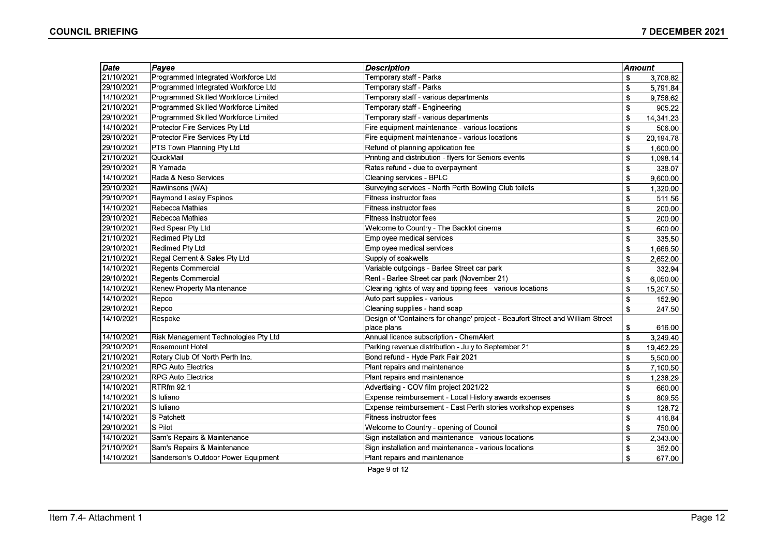| <b>Date</b> | Payee                                | <b>Description</b>                                                             | Amount      |           |
|-------------|--------------------------------------|--------------------------------------------------------------------------------|-------------|-----------|
| 21/10/2021  | Programmed Integrated Workforce Ltd  | Temporary staff - Parks                                                        | \$          | 3,708.82  |
| 29/10/2021  | Programmed Integrated Workforce Ltd  | Temporary staff - Parks                                                        | \$          | 5,791.84  |
| 14/10/2021  | Programmed Skilled Workforce Limited | Temporary staff - various departments                                          | \$          | 9.758.62  |
| 21/10/2021  | Programmed Skilled Workforce Limited | Temporary staff - Engineering                                                  | \$          | 905.22    |
| 29/10/2021  | Programmed Skilled Workforce Limited | Temporary staff - various departments                                          | \$          | 14,341.23 |
| 14/10/2021  | Protector Fire Services Pty Ltd      | Fire equipment maintenance - various locations                                 | \$          | 506.00    |
| 29/10/2021  | Protector Fire Services Pty Ltd      | Fire equipment maintenance - various locations                                 | \$          | 20,194.78 |
| 29/10/2021  | PTS Town Planning Pty Ltd            | Refund of planning application fee                                             | \$          | 1,600.00  |
| 21/10/2021  | QuickMail                            | Printing and distribution - flyers for Seniors events                          | \$          | 1,098.14  |
| 29/10/2021  | R Yamada                             | Rates refund - due to overpayment                                              | \$          | 338.07    |
| 14/10/2021  | Rada & Neso Services                 | Cleaning services - BPLC                                                       | \$          | 9.600.00  |
| 29/10/2021  | Rawlinsons (WA)                      | Surveying services - North Perth Bowling Club toilets                          | \$          | 1,320.00  |
| 29/10/2021  | <b>Raymond Lesley Espinos</b>        | Fitness instructor fees                                                        | \$          | 511.56    |
| 14/10/2021  | Rebecca Mathias                      | Fitness instructor fees                                                        | \$          | 200.00    |
| 29/10/2021  | Rebecca Mathias                      | <b>Fitness instructor fees</b>                                                 | \$          | 200.00    |
| 29/10/2021  | Red Spear Pty Ltd                    | Welcome to Country - The Backlot cinema                                        | \$          | 600.00    |
| 21/10/2021  | <b>Redimed Pty Ltd</b>               | Employee medical services                                                      | \$          | 335.50    |
| 29/10/2021  | <b>Redimed Pty Ltd</b>               | Employee medical services                                                      | \$          | 1,666.50  |
| 21/10/2021  | Regal Cement & Sales Pty Ltd         | Supply of soakwells                                                            | \$          | 2,652.00  |
| 14/10/2021  | <b>Regents Commercial</b>            | Variable outgoings - Barlee Street car park                                    | \$          | 332.94    |
| 29/10/2021  | Regents Commercial                   | Rent - Barlee Street car park (November 21)                                    | \$          | 6,050.00  |
| 14/10/2021  | Renew Property Maintenance           | Clearing rights of way and tipping fees - various locations                    | \$          | 15,207.50 |
| 14/10/2021  | Repco                                | Auto part supplies - various                                                   | \$          | 152.90    |
| 29/10/2021  | Repco                                | Cleaning supplies - hand soap                                                  | \$          | 247.50    |
| 14/10/2021  | Respoke                              | Design of 'Containers for change' project - Beaufort Street and William Street |             |           |
|             |                                      | place plans                                                                    | \$          | 616.00    |
| 14/10/2021  | Risk Management Technologies Pty Ltd | Annual licence subscription - ChemAlert                                        | \$          | 3,249.40  |
| 29/10/2021  | Rosemount Hotel                      | Parking revenue distribution - July to September 21                            | \$          | 19,452.29 |
| 21/10/2021  | Rotary Club Of North Perth Inc.      | Bond refund - Hyde Park Fair 2021                                              | \$          | 5,500.00  |
| 21/10/2021  | <b>RPG Auto Electrics</b>            | Plant repairs and maintenance                                                  | \$          | 7,100.50  |
| 29/10/2021  | <b>RPG Auto Electrics</b>            | Plant repairs and maintenance                                                  | \$          | 1,238.29  |
| 14/10/2021  | RTRfm 92.1                           | Advertising - COV film project 2021/22                                         | \$          | 660.00    |
| 14/10/2021  | S Iuliano                            | Expense reimbursement - Local History awards expenses                          | \$          | 809.55    |
| 21/10/2021  | S Iuliano                            | Expense reimbursement - East Perth stories workshop expenses                   | \$          | 128.72    |
| 14/10/2021  | S Patchett                           | <b>Fitness instructor fees</b>                                                 | \$          | 416.84    |
| 29/10/2021  | S Pilot                              | Welcome to Country - opening of Council                                        | $\mathbf S$ | 750.00    |
| 14/10/2021  | Sam's Repairs & Maintenance          | Sign installation and maintenance - various locations                          | \$          | 2,343.00  |
| 21/10/2021  | Sam's Repairs & Maintenance          | Sign installation and maintenance - various locations                          | \$          | 352.00    |
| 14/10/2021  | Sanderson's Outdoor Power Equipment  | Plant repairs and maintenance                                                  | \$          | 677.00    |

Page 9 of 12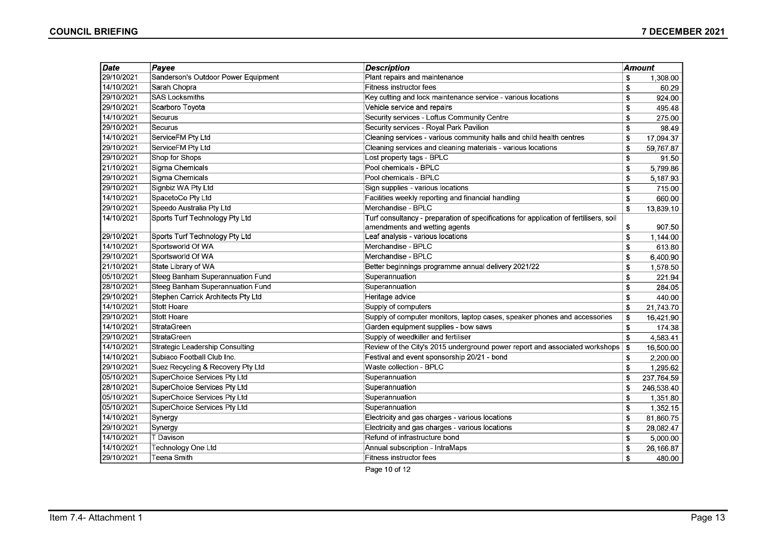| Date       | <b>Description</b><br>Payee         |                                                                                       | <b>Amount</b> |            |
|------------|-------------------------------------|---------------------------------------------------------------------------------------|---------------|------------|
| 29/10/2021 | Sanderson's Outdoor Power Equipment | Plant repairs and maintenance                                                         | \$            | 1,308.00   |
| 14/10/2021 | Sarah Chopra                        | <b>Fitness instructor fees</b>                                                        | \$            | 60.29      |
| 29/10/2021 | <b>SAS Locksmiths</b>               | Key cutting and lock maintenance service - various locations                          | \$            | 924.00     |
| 29/10/2021 | Scarboro Toyota                     | Vehicle service and repairs                                                           | \$            | 495.48     |
| 14/10/2021 | Securus                             | Security services - Loftus Community Centre                                           | \$            | 275.00     |
| 29/10/2021 | Securus                             | Security services - Royal Park Pavilion                                               | \$            | 98.49      |
| 14/10/2021 | ServiceFM Pty Ltd                   | Cleaning services - various community halls and child health centres                  | \$            | 17,094.37  |
| 29/10/2021 | ServiceFM Pty Ltd                   | Cleaning services and cleaning materials - various locations                          | \$            | 59,767.87  |
| 29/10/2021 | Shop for Shops                      | Lost property tags - BPLC                                                             | \$            | 91.50      |
| 21/10/2021 | Sigma Chemicals                     | Pool chemicals - BPLC                                                                 | \$            | 5,799.86   |
| 29/10/2021 | Sigma Chemicals                     | Pool chemicals - BPLC                                                                 | \$            | 5,187.93   |
| 29/10/2021 | Signbiz WA Pty Ltd                  | Sign supplies - various locations                                                     | \$            | 715.00     |
| 14/10/2021 | SpacetoCo Pty Ltd                   | Facilities weekly reporting and financial handling                                    | \$            | 660.00     |
| 29/10/2021 | Speedo Australia Pty Ltd            | Merchandise - BPLC                                                                    | \$            | 13,839.10  |
| 14/10/2021 | Sports Turf Technology Pty Ltd      | Turf consultancy - preparation of specifications for application of fertilisers, soil |               |            |
|            |                                     | amendments and wetting agents                                                         | \$            | 907.50     |
| 29/10/2021 | Sports Turf Technology Pty Ltd      | Leaf analysis - various locations                                                     | \$            | 1,144.00   |
| 14/10/2021 | Sportsworld Of WA                   | Merchandise - BPLC                                                                    | \$            | 613.80     |
| 29/10/2021 | Sportsworld Of WA                   | Merchandise - BPLC                                                                    | \$            | 6,400.90   |
| 21/10/2021 | State Library of WA                 | Better beginnings programme annual delivery 2021/22                                   | \$            | 1,578.50   |
| 05/10/2021 | Steeg Banham Superannuation Fund    | Superannuation                                                                        | \$            | 221.94     |
| 28/10/2021 | Steeg Banham Superannuation Fund    | Superannuation                                                                        | \$            | 284.05     |
| 29/10/2021 | Stephen Carrick Architects Pty Ltd  | Heritage advice                                                                       | \$            | 440.00     |
| 14/10/2021 | Stott Hoare                         | Supply of computers                                                                   | \$            | 21,743.70  |
| 29/10/2021 | Stott Hoare                         | Supply of computer monitors, laptop cases, speaker phones and accessories             | \$            | 16,421.90  |
| 14/10/2021 | <b>StrataGreen</b>                  | Garden equipment supplies - bow saws                                                  | \$            | 174.38     |
| 29/10/2021 | <b>StrataGreen</b>                  | Supply of weedkiller and fertiliser                                                   | \$            | 4,583.41   |
| 14/10/2021 | Strategic Leadership Consulting     | Review of the City's 2015 underground power report and associated workshops           | \$            | 16,500.00  |
| 14/10/2021 | Subiaco Football Club Inc.          | Festival and event sponsorship 20/21 - bond                                           | \$            | 2,200.00   |
| 29/10/2021 | Suez Recycling & Recovery Pty Ltd   | Waste collection - BPLC                                                               | \$            | 1,295.62   |
| 05/10/2021 | SuperChoice Services Pty Ltd        | Superannuation                                                                        | \$            | 237,764.59 |
| 28/10/2021 | SuperChoice Services Pty Ltd        | Superannuation                                                                        | \$            | 246,538.40 |
| 05/10/2021 | SuperChoice Services Pty Ltd        | Superannuation                                                                        | \$            | 1,351.80   |
| 05/10/2021 | SuperChoice Services Pty Ltd        | Superannuation                                                                        | \$            | 1,352.15   |
| 14/10/2021 | Synergy                             | Electricity and gas charges - various locations                                       | \$            | 81,860.75  |
| 29/10/2021 | Synergy                             | Electricity and gas charges - various locations                                       | \$            | 28,082.47  |
| 14/10/2021 | T Davison                           | Refund of infrastructure bond                                                         | \$            | 5,000.00   |
| 14/10/2021 | Technology One Ltd                  | Annual subscription - IntraMaps                                                       | \$            | 26,166.87  |
| 29/10/2021 | Teena Smith                         | Fitness instructor fees                                                               | \$            | 480.00     |

Page 10 of 12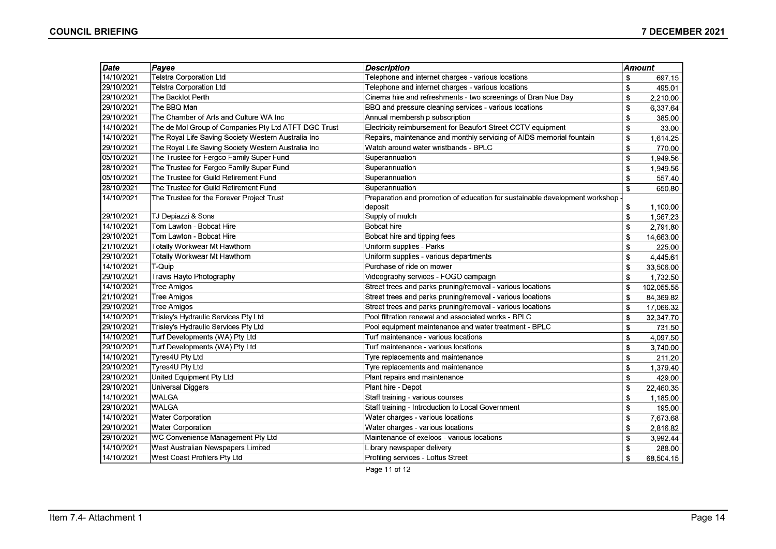| Date       | Payee                                                | <b>Description</b>                                                          | <b>Amount</b> |            |
|------------|------------------------------------------------------|-----------------------------------------------------------------------------|---------------|------------|
| 14/10/2021 | <b>Telstra Corporation Ltd</b>                       | Telephone and internet charges - various locations                          | \$            | 697.15     |
| 29/10/2021 | Telstra Corporation Ltd                              | Telephone and internet charges - various locations                          | \$            | 495.01     |
| 29/10/2021 | The Backlot Perth                                    | Cinema hire and refreshments - two screenings of Bran Nue Day               | \$            | 2,210.00   |
| 29/10/2021 | The BBQ Man                                          | BBQ and pressure cleaning services - various locations                      | \$            | 6,337.64   |
| 29/10/2021 | The Chamber of Arts and Culture WA Inc               | Annual membership subscription                                              | \$            | 385.00     |
| 14/10/2021 | The de Mol Group of Companies Pty Ltd ATFT DGC Trust | Electricity reimbursement for Beaufort Street CCTV equipment                | \$            | 33.00      |
| 14/10/2021 | The Royal Life Saving Society Western Australia Inc  | Repairs, maintenance and monthly servicing of AIDS memorial fountain        | \$            | 1,614.25   |
| 29/10/2021 | The Royal Life Saving Society Western Australia Inc  | Watch around water wristbands - BPLC                                        | \$            | 770.00     |
| 05/10/2021 | The Trustee for Fergco Family Super Fund             | Superannuation                                                              | \$            | 1,949.56   |
| 28/10/2021 | The Trustee for Fergco Family Super Fund             | Superannuation                                                              | \$            | 1,949.56   |
| 05/10/2021 | The Trustee for Guild Retirement Fund                | Superannuation                                                              | \$            | 557.40     |
| 28/10/2021 | The Trustee for Guild Retirement Fund                | Superannuation                                                              | \$            | 650.80     |
| 14/10/2021 | The Trustee for the Forever Project Trust            | Preparation and promotion of education for sustainable development workshop |               |            |
|            |                                                      | deposit                                                                     | \$            | 1,100.00   |
| 29/10/2021 | TJ Depiazzi & Sons                                   | Supply of mulch                                                             | \$            | 1,567.23   |
| 14/10/2021 | Tom Lawton - Bobcat Hire                             | <b>Bobcat hire</b>                                                          | \$            | 2,791.80   |
| 29/10/2021 | Tom Lawton - Bobcat Hire                             | Bobcat hire and tipping fees                                                | \$            | 14,663.00  |
| 21/10/2021 | Totally Workwear Mt Hawthorn                         | Uniform supplies - Parks                                                    | \$            | 225.00     |
| 29/10/2021 | Totally Workwear Mt Hawthorn                         | Uniform supplies - various departments                                      | \$            | 4,445.61   |
| 14/10/2021 | T-Quip                                               | Purchase of ride on mower                                                   | \$            | 33,506.00  |
| 29/10/2021 | Travis Hayto Photography                             | Videography services - FOGO campaign                                        | \$            | 1,732.50   |
| 14/10/2021 | <b>Tree Amigos</b>                                   | Street trees and parks pruning/removal - various locations                  | \$            | 102,055.55 |
| 21/10/2021 | Tree Amigos                                          | Street trees and parks pruning/removal - various locations                  | \$            | 84,369.82  |
| 29/10/2021 | <b>Tree Amigos</b>                                   | Street trees and parks pruning/removal - various locations                  | \$            | 17,066.32  |
| 14/10/2021 | Trisley's Hydraulic Services Pty Ltd                 | Pool filtration renewal and associated works - BPLC                         | \$            | 32,347.70  |
| 29/10/2021 | Trisley's Hydraulic Services Pty Ltd                 | Pool equipment maintenance and water treatment - BPLC                       | \$            | 731.50     |
| 14/10/2021 | Turf Developments (WA) Pty Ltd                       | Turf maintenance - various locations                                        | \$            | 4,097.50   |
| 29/10/2021 | Turf Developments (WA) Pty Ltd                       | Turf maintenance - various locations                                        | \$            | 3,740.00   |
| 14/10/2021 | Tyres4U Pty Ltd                                      | Tyre replacements and maintenance                                           | \$            | 211.20     |
| 29/10/2021 | Tyres4U Pty Ltd                                      | Tyre replacements and maintenance                                           | \$            | 1,379.40   |
| 29/10/2021 | United Equipment Pty Ltd                             | Plant repairs and maintenance                                               | \$            | 429.00     |
| 29/10/2021 | Universal Diggers                                    | Plant hire - Depot                                                          | \$            | 22,460.35  |
| 14/10/2021 | <b>WALGA</b>                                         | Staff training - various courses                                            | \$            | 1.185.00   |
| 29/10/2021 | <b>WALGA</b>                                         | Staff training - Introduction to Local Government                           | \$            | 195.00     |
| 14/10/2021 | <b>Water Corporation</b>                             | Water charges - various locations                                           | \$            | 7,673.68   |
| 29/10/2021 | <b>Water Corporation</b>                             | Water charges - various locations                                           | \$            | 2,816.82   |
| 29/10/2021 | WC Convenience Management Pty Ltd                    | Maintenance of exeloos - various locations                                  | \$            | 3,992.44   |
| 14/10/2021 | West Australian Newspapers Limited                   | Library newspaper delivery                                                  | \$            | 288.00     |
| 14/10/2021 | West Coast Profilers Pty Ltd                         | Profiling services - Loftus Street                                          | \$            | 68,504.15  |

Page 11 of 12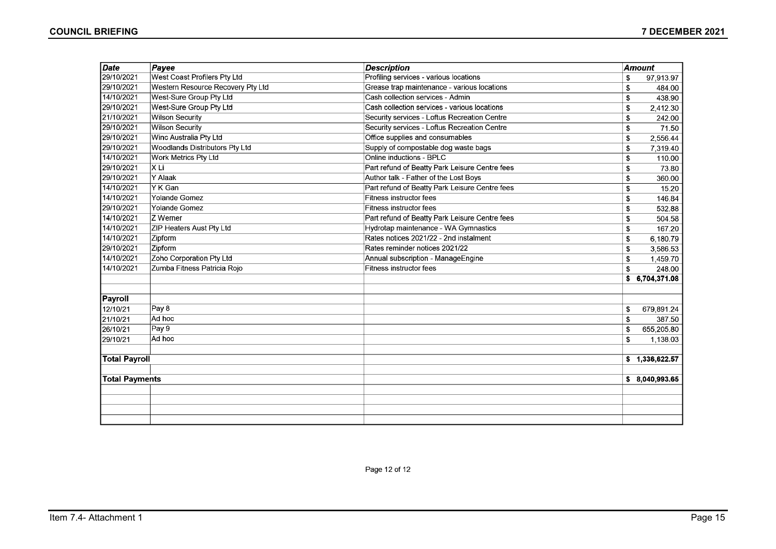| Date                  | Payee                                 | <b>Description</b>                             | <b>Amount</b>      |
|-----------------------|---------------------------------------|------------------------------------------------|--------------------|
| 29/10/2021            | West Coast Profilers Pty Ltd          | Profiling services - various locations         | \$<br>97,913.97    |
| 29/10/2021            | Western Resource Recovery Pty Ltd     | Grease trap maintenance - various locations    | \$<br>484.00       |
| 14/10/2021            | West-Sure Group Pty Ltd               | Cash collection services - Admin               | 438.90<br>\$       |
| 29/10/2021            | West-Sure Group Pty Ltd               | Cash collection services - various locations   | 2,412.30<br>\$     |
| 21/10/2021            | <b>Wilson Security</b>                | Security services - Loftus Recreation Centre   | 242.00<br>\$       |
| 29/10/2021            | <b>Wilson Security</b>                | Security services - Loftus Recreation Centre   | 71.50<br>\$        |
| 29/10/2021            | Winc Australia Pty Ltd                | Office supplies and consumables                | 2,556.44<br>\$     |
| 29/10/2021            | <b>Woodlands Distributors Pty Ltd</b> | Supply of compostable dog waste bags           | \$<br>7,319.40     |
| 14/10/2021            | <b>Work Metrics Pty Ltd</b>           | Online inductions - BPLC                       | \$<br>110.00       |
| 29/10/2021            | XLi                                   | Part refund of Beatty Park Leisure Centre fees | \$<br>73.80        |
| 29/10/2021            | Y Alaak                               | Author talk - Father of the Lost Boys          | 360.00<br>\$       |
| 14/10/2021            | Y K Gan                               | Part refund of Beatty Park Leisure Centre fees | 15.20<br>\$        |
| 14/10/2021            | Yolande Gomez                         | Fitness instructor fees                        | \$<br>146.84       |
| 29/10/2021            | <b>Yolande Gomez</b>                  | <b>Fitness instructor fees</b>                 | \$<br>532.88       |
| 14/10/2021            | Z Werner                              | Part refund of Beatty Park Leisure Centre fees | 504.58<br>\$       |
| 14/10/2021            | ZIP Heaters Aust Pty Ltd              | Hydrotap maintenance - WA Gymnastics           | 167.20<br>\$       |
| 14/10/2021            | Zipform                               | Rates notices 2021/22 - 2nd instalment         | \$<br>6,180.79     |
| 29/10/2021            | Zipform                               | Rates reminder notices 2021/22                 | 3,586.53<br>\$     |
| 14/10/2021            | Zoho Corporation Pty Ltd              | Annual subscription - ManageEngine             | \$<br>1,459.70     |
| 14/10/2021            | Zumba Fitness Patricia Rojo           | <b>Fitness instructor fees</b>                 | \$<br>248.00       |
|                       |                                       |                                                | 6,704,371.08<br>\$ |
|                       |                                       |                                                |                    |
| Payroll               |                                       |                                                |                    |
| 12/10/21              | Pay 8                                 |                                                | 679,891.24<br>\$   |
| 21/10/21              | Ad hoc                                |                                                | 387.50<br>\$       |
| 26/10/21              | Pay 9                                 |                                                | 655.205.80<br>\$   |
| 29/10/21              | Ad hoc                                |                                                | \$<br>1,138.03     |
|                       |                                       |                                                |                    |
| <b>Total Payroll</b>  |                                       |                                                | \$1,336,622.57     |
|                       |                                       |                                                |                    |
| <b>Total Payments</b> |                                       |                                                | \$8,040,993.65     |
|                       |                                       |                                                |                    |
|                       |                                       |                                                |                    |
|                       |                                       |                                                |                    |
|                       |                                       |                                                |                    |

Page 12 of 12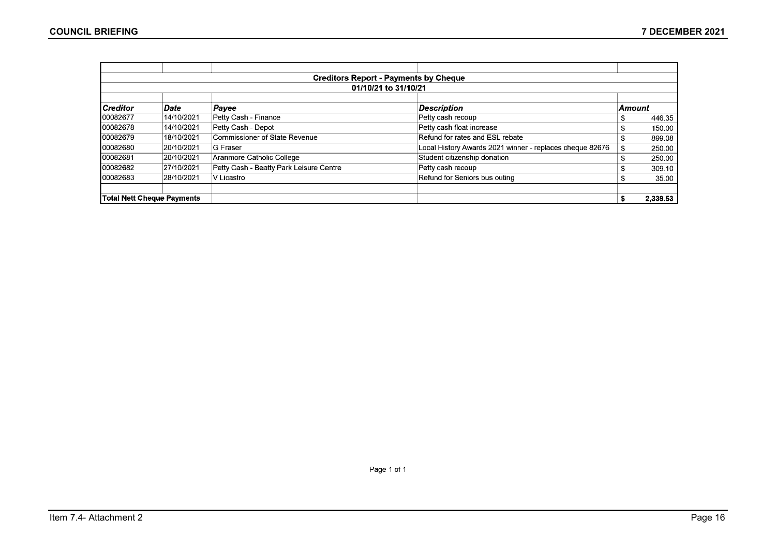|           |                                 |                                         | <b>Creditors Report - Payments by Cheque</b>             |        |        |  |  |  |  |
|-----------|---------------------------------|-----------------------------------------|----------------------------------------------------------|--------|--------|--|--|--|--|
|           | 01/10/21 to 31/10/21            |                                         |                                                          |        |        |  |  |  |  |
| Creditor  | Date                            | Payee                                   | <b>Description</b>                                       | Amount |        |  |  |  |  |
| 00082677  | 14/10/2021                      | Petty Cash - Finance                    | Petty cash recoup                                        | S      | 446.35 |  |  |  |  |
| 00082678  | 14/10/2021                      | Petty Cash - Depot                      | Petty cash float increase                                | S.     | 150.00 |  |  |  |  |
| 100082679 | 18/10/2021                      | Commissioner of State Revenue           | Refund for rates and ESL rebate                          | \$.    | 899.08 |  |  |  |  |
| 00082680  | 20/10/2021                      | <b>G Fraser</b>                         | Local History Awards 2021 winner - replaces cheque 82676 | S      | 250.00 |  |  |  |  |
| 00082681  | 20/10/2021                      | Aranmore Catholic College               | Student citizenship donation                             | S.     | 250.00 |  |  |  |  |
| 00082682  | 27/10/2021                      | Petty Cash - Beatty Park Leisure Centre | Petty cash recoup                                        | S.     | 309.10 |  |  |  |  |
| 00082683  | 28/10/2021                      | iV Licastro                             | Refund for Seniors bus outing                            | S      | 35.00  |  |  |  |  |
|           | Total Nett Cheque Payments<br>S |                                         |                                                          |        |        |  |  |  |  |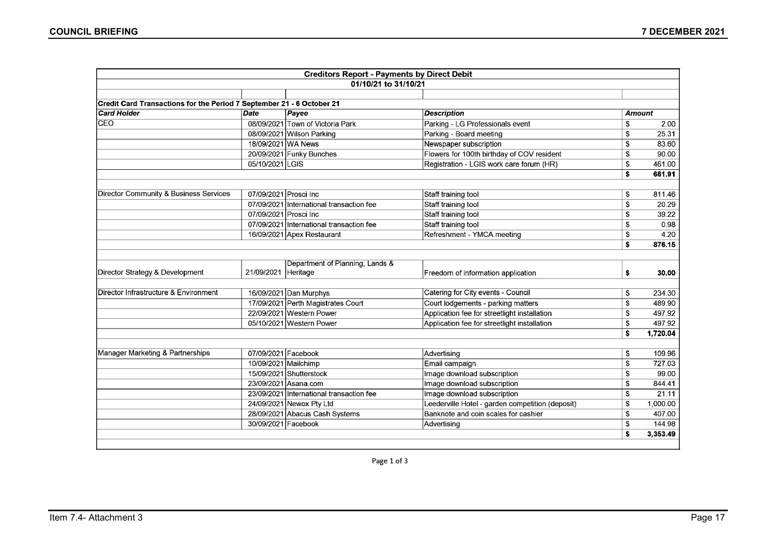|                                                                       |                       | <b>Creditors Report - Payments by Direct Debit</b> |                                                  |    |               |
|-----------------------------------------------------------------------|-----------------------|----------------------------------------------------|--------------------------------------------------|----|---------------|
|                                                                       |                       | 01/10/21 to 31/10/21                               |                                                  |    |               |
|                                                                       |                       |                                                    |                                                  |    |               |
| Credit Card Transactions for the Period 7 September 21 - 6 October 21 |                       |                                                    |                                                  |    |               |
| <b>Card Holder</b>                                                    | $\overline{Date}$     | Payee                                              | <b>Description</b>                               |    | <b>Amount</b> |
| <b>CEO</b>                                                            |                       | 08/09/2021 Town of Victoria Park                   | Parking - LG Professionals event                 | S  | 2.00          |
|                                                                       |                       | 08/09/2021 Wilson Parking                          | Parking - Board meeting                          | \$ | 25.31         |
|                                                                       | 18/09/2021 WA News    |                                                    | Newspaper subscription                           | \$ | 83.60         |
|                                                                       |                       | 20/09/2021 Funky Bunches                           | Flowers for 100th birthday of COV resident       | \$ | 90.00         |
|                                                                       | 05/10/2021 LGIS       |                                                    | Registration - LGIS work care forum (HR)         | \$ | 461.00        |
|                                                                       |                       |                                                    |                                                  | \$ | 661.91        |
| Director Community & Business Services                                | 07/09/2021 Prosci Inc |                                                    | Staff training tool                              | \$ | 811.46        |
|                                                                       |                       | 07/09/2021 International transaction fee           | Staff training tool                              | \$ | 20.29         |
|                                                                       | 07/09/2021 Prosci Inc |                                                    | Staff training tool                              | S. | 39.22         |
|                                                                       |                       | 07/09/2021 International transaction fee           | Staff training tool                              | \$ | 0.98          |
|                                                                       |                       | 16/09/2021 Apex Restaurant                         | Refreshment - YMCA meeting                       | \$ | 4.20          |
|                                                                       |                       |                                                    |                                                  | \$ | 876.15        |
|                                                                       |                       |                                                    |                                                  |    |               |
| Director Strategy & Development                                       | 21/09/2021            | Department of Planning, Lands &<br>Heritage        | Freedom of information application               | \$ | 30.00         |
| Director Infrastructure & Environment                                 |                       | 16/09/2021 Dan Murphys                             | Catering for City events - Council               | \$ | 234.30        |
|                                                                       |                       | 17/09/2021 Perth Magistrates Court                 | Court lodgements - parking matters               | \$ | 489.90        |
|                                                                       |                       | 22/09/2021 Western Power                           | Application fee for streetlight installation     | \$ | 497.92        |
|                                                                       |                       | 05/10/2021 Western Power                           | Application fee for streetlight installation     | \$ | 497.92        |
|                                                                       |                       |                                                    |                                                  | \$ | 1,720.04      |
|                                                                       |                       |                                                    |                                                  |    |               |
| Manager Marketing & Partnerships                                      | 07/09/2021 Facebook   |                                                    | Advertising                                      | \$ | 109.96        |
|                                                                       | 10/09/2021 Mailchimp  |                                                    | Email campaign                                   | \$ | 727.03        |
|                                                                       |                       | 15/09/2021 Shutterstock                            | Image download subscription                      | S  | 99.00         |
|                                                                       |                       | 23/09/2021 Asana.com                               | Image download subscription                      | \$ | 844.41        |
|                                                                       |                       | 23/09/2021 International transaction fee           | Image download subscription                      | \$ | 21.11         |
|                                                                       |                       | 24/09/2021 Newox Pty Ltd                           | Leederville Hotel - garden competition (deposit) | \$ | 1,000.00      |
|                                                                       |                       | 28/09/2021 Abacus Cash Systems                     | Banknote and coin scales for cashier             | \$ | 407.00        |
|                                                                       | 30/09/2021 Facebook   |                                                    | Advertising                                      | \$ | 144.98        |
|                                                                       |                       |                                                    |                                                  | \$ | 3,353.49      |
|                                                                       |                       |                                                    |                                                  |    |               |

Page 1 of 3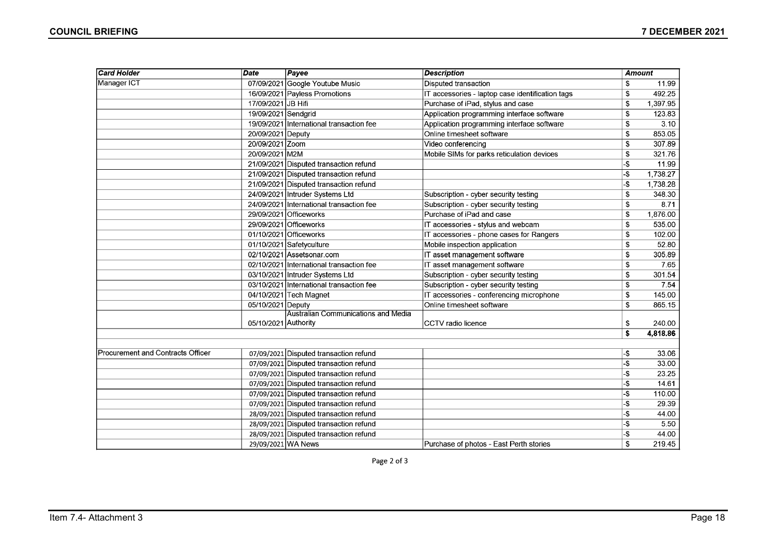| <b>Card Holder</b>                | Date                 | Payee                                    | <b>Description</b>                               |     | <b>Amount</b> |
|-----------------------------------|----------------------|------------------------------------------|--------------------------------------------------|-----|---------------|
| Manager ICT                       |                      | 07/09/2021 Google Youtube Music          | <b>Disputed transaction</b>                      | \$  | 11.99         |
|                                   |                      | 16/09/2021 Payless Promotions            | IT accessories - laptop case identification tags | \$  | 492.25        |
|                                   | 17/09/2021 JB Hifi   |                                          | Purchase of iPad, stylus and case                | \$  | 1,397.95      |
|                                   | 19/09/2021 Sendgrid  |                                          | Application programming interface software       | \$  | 123.83        |
|                                   |                      | 19/09/2021 International transaction fee | Application programming interface software       | S   | 3.10          |
|                                   | 20/09/2021 Deputy    |                                          | Online timesheet software                        | £.  | 853.05        |
|                                   | 20/09/2021 Zoom      |                                          | Video conferencing                               | \$  | 307.89        |
|                                   | 20/09/2021 M2M       |                                          | Mobile SIMs for parks reticulation devices       | S   | 321.76        |
|                                   |                      | 21/09/2021 Disputed transaction refund   |                                                  | -\$ | 11.99         |
|                                   |                      | 21/09/2021 Disputed transaction refund   |                                                  | -\$ | 1,738.27      |
|                                   |                      | 21/09/2021 Disputed transaction refund   |                                                  | -\$ | 1,738.28      |
|                                   |                      | 24/09/2021 Intruder Systems Ltd          | Subscription - cyber security testing            | \$  | 348.30        |
|                                   |                      | 24/09/2021 International transaction fee | Subscription - cyber security testing            | S.  | 8.71          |
|                                   |                      | 29/09/2021 Officeworks                   | Purchase of iPad and case                        | \$  | 1,876.00      |
|                                   |                      | 29/09/2021 Officeworks                   | IT accessories - stylus and webcam               | \$  | 535.00        |
|                                   |                      | 01/10/2021 Officeworks                   | IT accessories - phone cases for Rangers         | \$  | 102.00        |
|                                   |                      | 01/10/2021 Safetyculture                 | Mobile inspection application                    | S   | 52.80         |
|                                   |                      | 02/10/2021 Assetsonar.com                | IT asset management software                     | \$  | 305.89        |
|                                   |                      | 02/10/2021 International transaction fee | IT asset management software                     | \$  | 7.65          |
|                                   |                      | 03/10/2021 Intruder Systems Ltd          | Subscription - cyber security testing            | \$  | 301.54        |
|                                   |                      | 03/10/2021 International transaction fee | Subscription - cyber security testing            | \$  | 7.54          |
|                                   |                      | 04/10/2021 Tech Magnet                   | IT accessories - conferencing microphone         | S.  | 145.00        |
|                                   | 05/10/2021 Deputy    |                                          | Online timesheet software                        | \$  | 865.15        |
|                                   |                      | Australian Communications and Media      |                                                  |     |               |
|                                   | 05/10/2021 Authority |                                          | CCTV radio licence                               | \$  | 240.00        |
|                                   |                      |                                          |                                                  | \$  | 4,818.86      |
|                                   |                      |                                          |                                                  |     |               |
| Procurement and Contracts Officer |                      | 07/09/2021 Disputed transaction refund   |                                                  | -\$ | 33.06         |
|                                   |                      | 07/09/2021 Disputed transaction refund   |                                                  | -\$ | 33.00         |
|                                   |                      | 07/09/2021 Disputed transaction refund   |                                                  | -\$ | 23.25         |
|                                   |                      | 07/09/2021 Disputed transaction refund   |                                                  | -\$ | 14.61         |
|                                   |                      | 07/09/2021 Disputed transaction refund   |                                                  | -\$ | 110.00        |
|                                   |                      | 07/09/2021 Disputed transaction refund   |                                                  | -\$ | 29.39         |
|                                   |                      | 28/09/2021 Disputed transaction refund   |                                                  | -\$ | 44.00         |
|                                   |                      | 28/09/2021 Disputed transaction refund   |                                                  | -\$ | 5.50          |
|                                   |                      | 28/09/2021 Disputed transaction refund   |                                                  | -\$ | 44.00         |
|                                   | 29/09/2021 WA News   |                                          | Purchase of photos - East Perth stories          | \$  | 219.45        |

Page 2 of 3